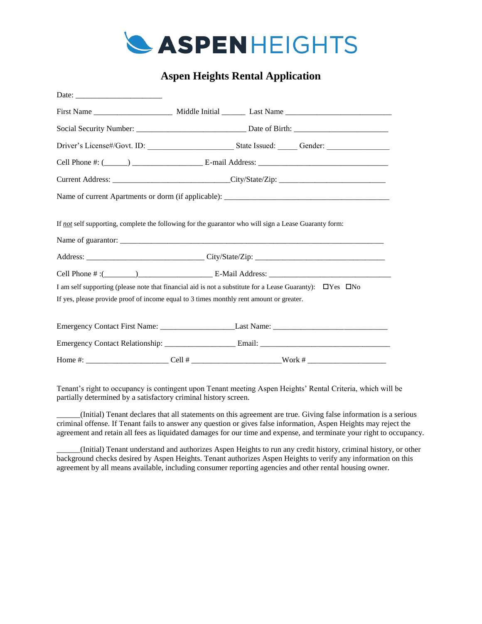

## **Aspen Heights Rental Application**

| If not self supporting, complete the following for the guarantor who will sign a Lease Guaranty form:                |  |  |  |
|----------------------------------------------------------------------------------------------------------------------|--|--|--|
|                                                                                                                      |  |  |  |
| I am self supporting (please note that financial aid is not a substitute for a Lease Guaranty): $\Box$ Yes $\Box$ No |  |  |  |
| If yes, please provide proof of income equal to 3 times monthly rent amount or greater.                              |  |  |  |
|                                                                                                                      |  |  |  |
|                                                                                                                      |  |  |  |
|                                                                                                                      |  |  |  |
|                                                                                                                      |  |  |  |

Tenant's right to occupancy is contingent upon Tenant meeting Aspen Heights' Rental Criteria, which will be partially determined by a satisfactory criminal history screen.

\_\_\_\_\_\_(Initial) Tenant declares that all statements on this agreement are true. Giving false information is a serious criminal offense. If Tenant fails to answer any question or gives false information, Aspen Heights may reject the agreement and retain all fees as liquidated damages for our time and expense, and terminate your right to occupancy.

\_\_\_\_\_\_(Initial) Tenant understand and authorizes Aspen Heights to run any credit history, criminal history, or other background checks desired by Aspen Heights. Tenant authorizes Aspen Heights to verify any information on this agreement by all means available, including consumer reporting agencies and other rental housing owner.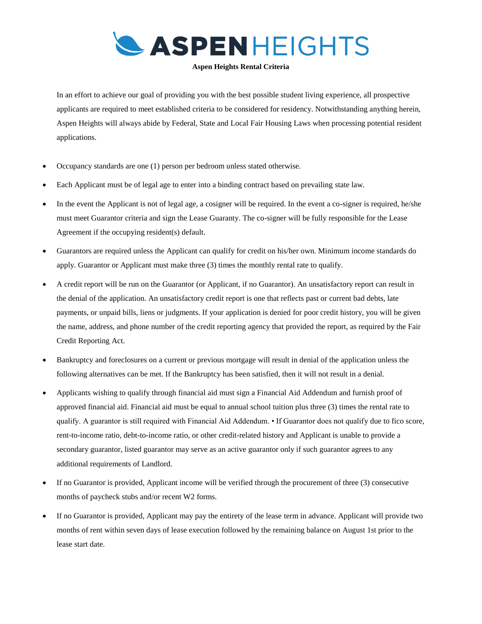

**Aspen Heights Rental Criteria**

In an effort to achieve our goal of providing you with the best possible student living experience, all prospective applicants are required to meet established criteria to be considered for residency. Notwithstanding anything herein, Aspen Heights will always abide by Federal, State and Local Fair Housing Laws when processing potential resident applications.

- Occupancy standards are one (1) person per bedroom unless stated otherwise.
- Each Applicant must be of legal age to enter into a binding contract based on prevailing state law.
- In the event the Applicant is not of legal age, a cosigner will be required. In the event a co-signer is required, he/she must meet Guarantor criteria and sign the Lease Guaranty. The co-signer will be fully responsible for the Lease Agreement if the occupying resident(s) default.
- Guarantors are required unless the Applicant can qualify for credit on his/her own. Minimum income standards do apply. Guarantor or Applicant must make three (3) times the monthly rental rate to qualify.
- A credit report will be run on the Guarantor (or Applicant, if no Guarantor). An unsatisfactory report can result in the denial of the application. An unsatisfactory credit report is one that reflects past or current bad debts, late payments, or unpaid bills, liens or judgments. If your application is denied for poor credit history, you will be given the name, address, and phone number of the credit reporting agency that provided the report, as required by the Fair Credit Reporting Act.
- Bankruptcy and foreclosures on a current or previous mortgage will result in denial of the application unless the following alternatives can be met. If the Bankruptcy has been satisfied, then it will not result in a denial.
- Applicants wishing to qualify through financial aid must sign a Financial Aid Addendum and furnish proof of approved financial aid. Financial aid must be equal to annual school tuition plus three (3) times the rental rate to qualify. A guarantor is still required with Financial Aid Addendum. • If Guarantor does not qualify due to fico score, rent-to-income ratio, debt-to-income ratio, or other credit-related history and Applicant is unable to provide a secondary guarantor, listed guarantor may serve as an active guarantor only if such guarantor agrees to any additional requirements of Landlord.
- If no Guarantor is provided, Applicant income will be verified through the procurement of three (3) consecutive months of paycheck stubs and/or recent W2 forms.
- If no Guarantor is provided, Applicant may pay the entirety of the lease term in advance. Applicant will provide two months of rent within seven days of lease execution followed by the remaining balance on August 1st prior to the lease start date.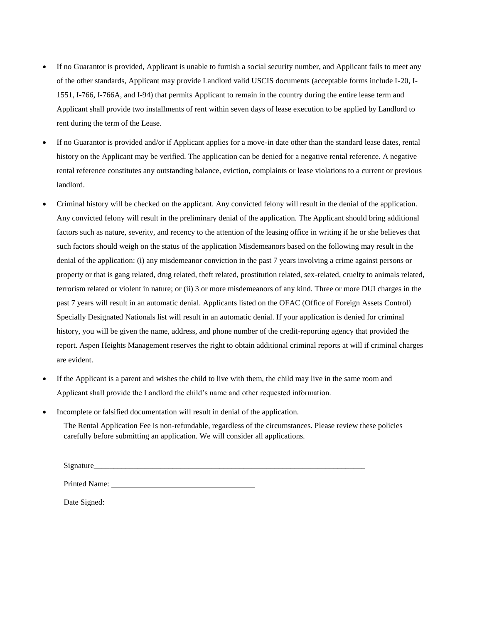- If no Guarantor is provided, Applicant is unable to furnish a social security number, and Applicant fails to meet any of the other standards, Applicant may provide Landlord valid USCIS documents (acceptable forms include I-20, I-1551, I-766, I-766A, and I-94) that permits Applicant to remain in the country during the entire lease term and Applicant shall provide two installments of rent within seven days of lease execution to be applied by Landlord to rent during the term of the Lease.
- If no Guarantor is provided and/or if Applicant applies for a move-in date other than the standard lease dates, rental history on the Applicant may be verified. The application can be denied for a negative rental reference. A negative rental reference constitutes any outstanding balance, eviction, complaints or lease violations to a current or previous landlord.
- Criminal history will be checked on the applicant. Any convicted felony will result in the denial of the application. Any convicted felony will result in the preliminary denial of the application. The Applicant should bring additional factors such as nature, severity, and recency to the attention of the leasing office in writing if he or she believes that such factors should weigh on the status of the application Misdemeanors based on the following may result in the denial of the application: (i) any misdemeanor conviction in the past 7 years involving a crime against persons or property or that is gang related, drug related, theft related, prostitution related, sex-related, cruelty to animals related, terrorism related or violent in nature; or (ii) 3 or more misdemeanors of any kind. Three or more DUI charges in the past 7 years will result in an automatic denial. Applicants listed on the OFAC (Office of Foreign Assets Control) Specially Designated Nationals list will result in an automatic denial. If your application is denied for criminal history, you will be given the name, address, and phone number of the credit-reporting agency that provided the report. Aspen Heights Management reserves the right to obtain additional criminal reports at will if criminal charges are evident.
- If the Applicant is a parent and wishes the child to live with them, the child may live in the same room and Applicant shall provide the Landlord the child's name and other requested information.
- Incomplete or falsified documentation will result in denial of the application.

The Rental Application Fee is non-refundable, regardless of the circumstances. Please review these policies carefully before submitting an application. We will consider all applications.

| Signature_    |  |  |  |
|---------------|--|--|--|
| Printed Name: |  |  |  |
| Date Signed:  |  |  |  |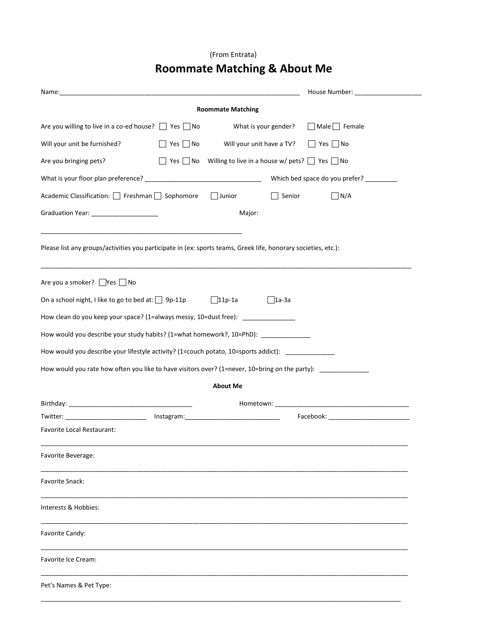# (From Entrata) **Roommate Matching & About Me**

| Name:                                                                                                          |                      |                                                                               |               | House Number: Now a state of the state of the state of the state of the state of the state of the state of the |  |
|----------------------------------------------------------------------------------------------------------------|----------------------|-------------------------------------------------------------------------------|---------------|----------------------------------------------------------------------------------------------------------------|--|
|                                                                                                                |                      | <b>Roommate Matching</b>                                                      |               |                                                                                                                |  |
| Are you willing to live in a co-ed house? $\Box$ Yes $\Box$ No                                                 |                      | What is your gender?                                                          |               | $\Box$ Male $\Box$ Female                                                                                      |  |
| Will your unit be furnished?                                                                                   | $\Box$ Yes $\Box$ No | Will your unit have a TV?                                                     |               | $\Box$ Yes $\Box$ No                                                                                           |  |
| Are you bringing pets?                                                                                         |                      | $\Box$ Yes $\Box$ No Willing to live in a house w/ pets? $\Box$ Yes $\Box$ No |               |                                                                                                                |  |
|                                                                                                                |                      |                                                                               |               |                                                                                                                |  |
| Academic Classification: □ Freshman □ Sophomore                                                                |                      | $\Box$ Junior                                                                 | $\Box$ Senior | $\Box$ N/A                                                                                                     |  |
| Graduation Year: ____________________                                                                          |                      | Major:                                                                        |               |                                                                                                                |  |
| Please list any groups/activities you participate in (ex: sports teams, Greek life, honorary societies, etc.): |                      |                                                                               |               |                                                                                                                |  |
| Are you a smoker? $\Box$ Yes $\Box$ No                                                                         |                      |                                                                               |               |                                                                                                                |  |
| On a school night, I like to go to bed at: $\Box$ 9p-11p                                                       |                      | $\Box$ 11p-1a                                                                 | $\Box$ 1a-3a  |                                                                                                                |  |
| How clean do you keep your space? (1=always messy, 10=dust free): ______________                               |                      |                                                                               |               |                                                                                                                |  |
| How would you describe your study habits? (1=what homework?, 10=PhD): ___________                              |                      |                                                                               |               |                                                                                                                |  |
| How would you describe your lifestyle activity? (1=couch potato, 10=sports addict): ______________             |                      |                                                                               |               |                                                                                                                |  |
| How would you rate how often you like to have visitors over? (1=never, 10=bring on the party): ___________     |                      |                                                                               |               |                                                                                                                |  |
|                                                                                                                |                      | <b>About Me</b>                                                               |               |                                                                                                                |  |
|                                                                                                                |                      |                                                                               |               |                                                                                                                |  |
| Twitter: ______________________________ Instagram:______________________________                               |                      |                                                                               |               |                                                                                                                |  |
| Favorite Local Restaurant:                                                                                     |                      |                                                                               |               |                                                                                                                |  |
| Favorite Beverage:                                                                                             |                      |                                                                               |               |                                                                                                                |  |
| <b>Favorite Snack:</b>                                                                                         |                      |                                                                               |               |                                                                                                                |  |
| Interests & Hobbies:                                                                                           |                      |                                                                               |               |                                                                                                                |  |
| Favorite Candy:                                                                                                |                      |                                                                               |               |                                                                                                                |  |
| <b>Favorite Ice Cream:</b>                                                                                     |                      |                                                                               |               |                                                                                                                |  |
| Pet's Names & Pet Type:                                                                                        |                      |                                                                               |               |                                                                                                                |  |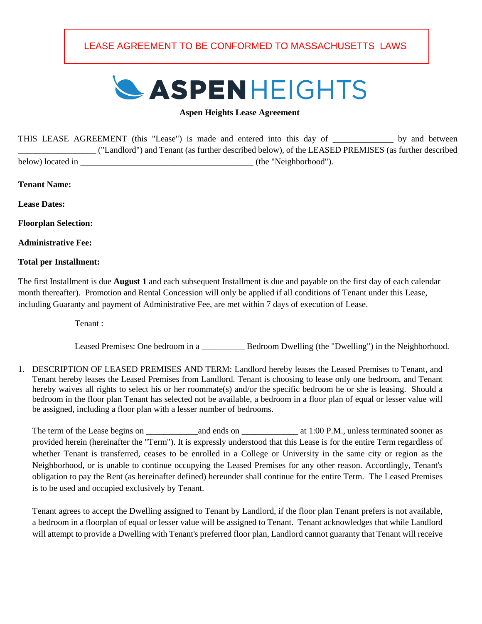## LEASE AGREEMENT TO BE CONFORMED TO MASSACHUSETTS LAWS



#### **Aspen Heights Lease Agreement**

THIS LEASE AGREEMENT (this "Lease") is made and entered into this day of \_\_\_\_\_\_\_\_\_\_\_\_\_\_ by and between \_\_\_\_\_\_\_\_\_\_\_\_\_\_\_\_\_\_ ("Landlord") and Tenant (as further described below), of the LEASED PREMISES (as further described below) located in \_\_\_\_\_\_\_\_\_\_\_\_\_\_\_\_\_\_\_\_\_\_\_\_\_\_\_\_\_\_\_\_\_\_\_\_\_\_\_\_ (the "Neighborhood").

**Tenant Name:**

**Lease Dates:**

**Floorplan Selection:**

**Administrative Fee:**

#### **Total per Installment:**

The first Installment is due **August 1** and each subsequent Installment is due and payable on the first day of each calendar month thereafter). Promotion and Rental Concession will only be applied if all conditions of Tenant under this Lease, including Guaranty and payment of Administrative Fee, are met within 7 days of execution of Lease.

Tenant :

Leased Premises: One bedroom in a \_\_\_\_\_\_\_\_\_\_\_\_\_ Bedroom Dwelling (the "Dwelling") in the Neighborhood.

1. DESCRIPTION OF LEASED PREMISES AND TERM: Landlord hereby leases the Leased Premises to Tenant, and Tenant hereby leases the Leased Premises from Landlord. Tenant is choosing to lease only one bedroom, and Tenant hereby waives all rights to select his or her roommate(s) and/or the specific bedroom he or she is leasing. Should a bedroom in the floor plan Tenant has selected not be available, a bedroom in a floor plan of equal or lesser value will be assigned, including a floor plan with a lesser number of bedrooms.

The term of the Lease begins on  $\qquad \qquad$  and ends on  $\qquad \qquad$  at 1:00 P.M., unless terminated sooner as provided herein (hereinafter the "Term"). It is expressly understood that this Lease is for the entire Term regardless of whether Tenant is transferred, ceases to be enrolled in a College or University in the same city or region as the Neighborhood, or is unable to continue occupying the Leased Premises for any other reason. Accordingly, Tenant's obligation to pay the Rent (as hereinafter defined) hereunder shall continue for the entire Term. The Leased Premises is to be used and occupied exclusively by Tenant.

Tenant agrees to accept the Dwelling assigned to Tenant by Landlord, if the floor plan Tenant prefers is not available, a bedroom in a floorplan of equal or lesser value will be assigned to Tenant. Tenant acknowledges that while Landlord will attempt to provide a Dwelling with Tenant's preferred floor plan, Landlord cannot guaranty that Tenant will receive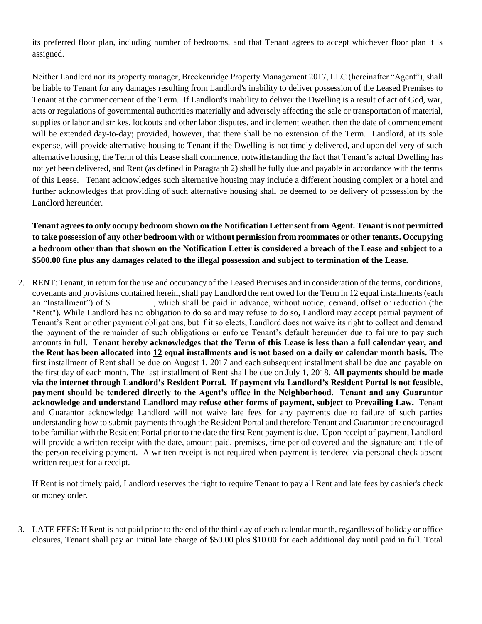its preferred floor plan, including number of bedrooms, and that Tenant agrees to accept whichever floor plan it is assigned.

Neither Landlord nor its property manager, Breckenridge Property Management 2017, LLC (hereinafter "Agent"), shall be liable to Tenant for any damages resulting from Landlord's inability to deliver possession of the Leased Premises to Tenant at the commencement of the Term. If Landlord's inability to deliver the Dwelling is a result of act of God, war, acts or regulations of governmental authorities materially and adversely affecting the sale or transportation of material, supplies or labor and strikes, lockouts and other labor disputes, and inclement weather, then the date of commencement will be extended day-to-day; provided, however, that there shall be no extension of the Term. Landlord, at its sole expense, will provide alternative housing to Tenant if the Dwelling is not timely delivered, and upon delivery of such alternative housing, the Term of this Lease shall commence, notwithstanding the fact that Tenant's actual Dwelling has not yet been delivered, and Rent (as defined in Paragraph 2) shall be fully due and payable in accordance with the terms of this Lease. Tenant acknowledges such alternative housing may include a different housing complex or a hotel and further acknowledges that providing of such alternative housing shall be deemed to be delivery of possession by the Landlord hereunder.

**Tenant agrees to only occupy bedroom shown on the Notification Letter sent from Agent. Tenant is not permitted to take possession of any other bedroom with or without permission from roommates or other tenants. Occupying a bedroom other than that shown on the Notification Letter is considered a breach of the Lease and subject to a \$500.00 fine plus any damages related to the illegal possession and subject to termination of the Lease.** 

2. RENT: Tenant, in return for the use and occupancy of the Leased Premises and in consideration of the terms, conditions, covenants and provisions contained herein, shall pay Landlord the rent owed for the Term in 12 equal installments (each an "Installment") of \$, which shall be paid in advance, without notice, demand, offset or reduction (the "Rent"). While Landlord has no obligation to do so and may refuse to do so, Landlord may accept partial payment of Tenant's Rent or other payment obligations, but if it so elects, Landlord does not waive its right to collect and demand the payment of the remainder of such obligations or enforce Tenant's default hereunder due to failure to pay such amounts in full. **Tenant hereby acknowledges that the Term of this Lease is less than a full calendar year, and the Rent has been allocated into 12 equal installments and is not based on a daily or calendar month basis.** The first installment of Rent shall be due on August 1, 2017 and each subsequent installment shall be due and payable on the first day of each month. The last installment of Rent shall be due on July 1, 2018. **All payments should be made via the internet through Landlord's Resident Portal. If payment via Landlord's Resident Portal is not feasible, payment should be tendered directly to the Agent's office in the Neighborhood. Tenant and any Guarantor acknowledge and understand Landlord may refuse other forms of payment, subject to Prevailing Law.** Tenant and Guarantor acknowledge Landlord will not waive late fees for any payments due to failure of such parties understanding how to submit payments through the Resident Portal and therefore Tenant and Guarantor are encouraged to be familiar with the Resident Portal prior to the date the first Rent payment is due. Upon receipt of payment, Landlord will provide a written receipt with the date, amount paid, premises, time period covered and the signature and title of the person receiving payment. A written receipt is not required when payment is tendered via personal check absent written request for a receipt.

If Rent is not timely paid, Landlord reserves the right to require Tenant to pay all Rent and late fees by cashier's check or money order.

3. LATE FEES: If Rent is not paid prior to the end of the third day of each calendar month, regardless of holiday or office closures, Tenant shall pay an initial late charge of \$50.00 plus \$10.00 for each additional day until paid in full. Total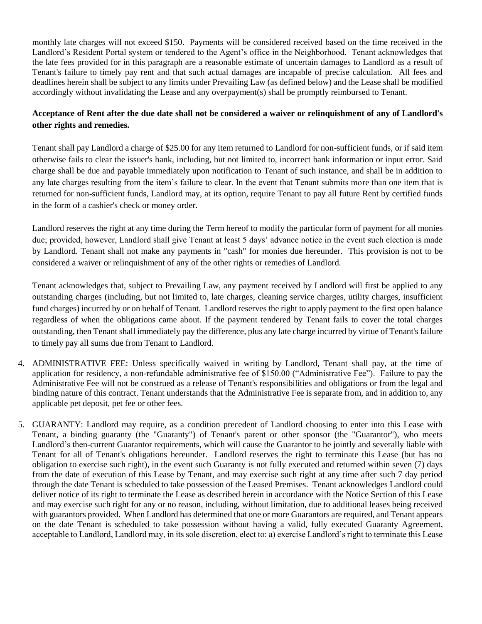monthly late charges will not exceed \$150. Payments will be considered received based on the time received in the Landlord's Resident Portal system or tendered to the Agent's office in the Neighborhood. Tenant acknowledges that the late fees provided for in this paragraph are a reasonable estimate of uncertain damages to Landlord as a result of Tenant's failure to timely pay rent and that such actual damages are incapable of precise calculation. All fees and deadlines herein shall be subject to any limits under Prevailing Law (as defined below) and the Lease shall be modified accordingly without invalidating the Lease and any overpayment(s) shall be promptly reimbursed to Tenant.

### **Acceptance of Rent after the due date shall not be considered a waiver or relinquishment of any of Landlord's other rights and remedies.**

Tenant shall pay Landlord a charge of \$25.00 for any item returned to Landlord for non-sufficient funds, or if said item otherwise fails to clear the issuer's bank, including, but not limited to, incorrect bank information or input error. Said charge shall be due and payable immediately upon notification to Tenant of such instance, and shall be in addition to any late charges resulting from the item's failure to clear. In the event that Tenant submits more than one item that is returned for non-sufficient funds, Landlord may, at its option, require Tenant to pay all future Rent by certified funds in the form of a cashier's check or money order.

Landlord reserves the right at any time during the Term hereof to modify the particular form of payment for all monies due; provided, however, Landlord shall give Tenant at least 5 days' advance notice in the event such election is made by Landlord. Tenant shall not make any payments in "cash" for monies due hereunder. This provision is not to be considered a waiver or relinquishment of any of the other rights or remedies of Landlord.

Tenant acknowledges that, subject to Prevailing Law, any payment received by Landlord will first be applied to any outstanding charges (including, but not limited to, late charges, cleaning service charges, utility charges, insufficient fund charges) incurred by or on behalf of Tenant. Landlord reserves the right to apply payment to the first open balance regardless of when the obligations came about. If the payment tendered by Tenant fails to cover the total charges outstanding, then Tenant shall immediately pay the difference, plus any late charge incurred by virtue of Tenant's failure to timely pay all sums due from Tenant to Landlord.

- 4. ADMINISTRATIVE FEE: Unless specifically waived in writing by Landlord, Tenant shall pay, at the time of application for residency, a non-refundable administrative fee of \$150.00 ("Administrative Fee"). Failure to pay the Administrative Fee will not be construed as a release of Tenant's responsibilities and obligations or from the legal and binding nature of this contract. Tenant understands that the Administrative Fee is separate from, and in addition to, any applicable pet deposit, pet fee or other fees.
- 5. GUARANTY: Landlord may require, as a condition precedent of Landlord choosing to enter into this Lease with Tenant, a binding guaranty (the "Guaranty") of Tenant's parent or other sponsor (the "Guarantor"), who meets Landlord's then-current Guarantor requirements, which will cause the Guarantor to be jointly and severally liable with Tenant for all of Tenant's obligations hereunder. Landlord reserves the right to terminate this Lease (but has no obligation to exercise such right), in the event such Guaranty is not fully executed and returned within seven (7) days from the date of execution of this Lease by Tenant, and may exercise such right at any time after such 7 day period through the date Tenant is scheduled to take possession of the Leased Premises. Tenant acknowledges Landlord could deliver notice of its right to terminate the Lease as described herein in accordance with the Notice Section of this Lease and may exercise such right for any or no reason, including, without limitation, due to additional leases being received with guarantors provided. When Landlord has determined that one or more Guarantors are required, and Tenant appears on the date Tenant is scheduled to take possession without having a valid, fully executed Guaranty Agreement, acceptable to Landlord, Landlord may, in its sole discretion, elect to: a) exercise Landlord's right to terminate this Lease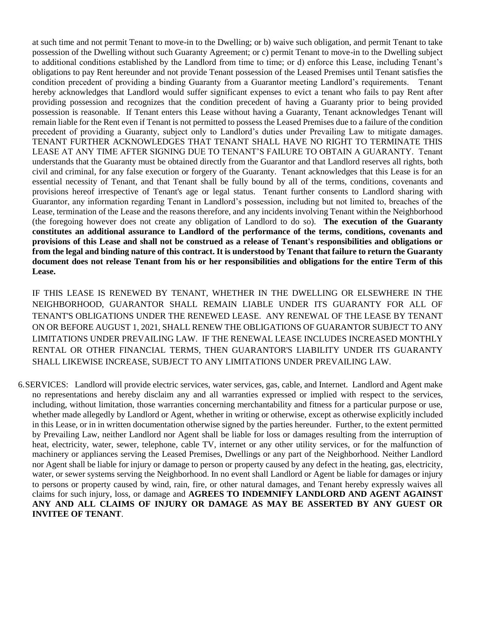at such time and not permit Tenant to move-in to the Dwelling; or b) waive such obligation, and permit Tenant to take possession of the Dwelling without such Guaranty Agreement; or c) permit Tenant to move-in to the Dwelling subject to additional conditions established by the Landlord from time to time; or d) enforce this Lease, including Tenant's obligations to pay Rent hereunder and not provide Tenant possession of the Leased Premises until Tenant satisfies the condition precedent of providing a binding Guaranty from a Guarantor meeting Landlord's requirements. Tenant hereby acknowledges that Landlord would suffer significant expenses to evict a tenant who fails to pay Rent after providing possession and recognizes that the condition precedent of having a Guaranty prior to being provided possession is reasonable. If Tenant enters this Lease without having a Guaranty, Tenant acknowledges Tenant will remain liable for the Rent even if Tenant is not permitted to possess the Leased Premises due to a failure of the condition precedent of providing a Guaranty, subject only to Landlord's duties under Prevailing Law to mitigate damages. TENANT FURTHER ACKNOWLEDGES THAT TENANT SHALL HAVE NO RIGHT TO TERMINATE THIS LEASE AT ANY TIME AFTER SIGNING DUE TO TENANT'S FAILURE TO OBTAIN A GUARANTY. Tenant understands that the Guaranty must be obtained directly from the Guarantor and that Landlord reserves all rights, both civil and criminal, for any false execution or forgery of the Guaranty. Tenant acknowledges that this Lease is for an essential necessity of Tenant, and that Tenant shall be fully bound by all of the terms, conditions, covenants and provisions hereof irrespective of Tenant's age or legal status. Tenant further consents to Landlord sharing with Guarantor, any information regarding Tenant in Landlord's possession, including but not limited to, breaches of the Lease, termination of the Lease and the reasons therefore, and any incidents involving Tenant within the Neighborhood (the foregoing however does not create any obligation of Landlord to do so). **The execution of the Guaranty constitutes an additional assurance to Landlord of the performance of the terms, conditions, covenants and provisions of this Lease and shall not be construed as a release of Tenant's responsibilities and obligations or from the legal and binding nature of this contract. It is understood by Tenant that failure to return the Guaranty document does not release Tenant from his or her responsibilities and obligations for the entire Term of this Lease.**

IF THIS LEASE IS RENEWED BY TENANT, WHETHER IN THE DWELLING OR ELSEWHERE IN THE NEIGHBORHOOD, GUARANTOR SHALL REMAIN LIABLE UNDER ITS GUARANTY FOR ALL OF TENANT'S OBLIGATIONS UNDER THE RENEWED LEASE. ANY RENEWAL OF THE LEASE BY TENANT ON OR BEFORE AUGUST 1, 2021, SHALL RENEW THE OBLIGATIONS OF GUARANTOR SUBJECT TO ANY LIMITATIONS UNDER PREVAILING LAW. IF THE RENEWAL LEASE INCLUDES INCREASED MONTHLY RENTAL OR OTHER FINANCIAL TERMS, THEN GUARANTOR'S LIABILITY UNDER ITS GUARANTY SHALL LIKEWISE INCREASE, SUBJECT TO ANY LIMITATIONS UNDER PREVAILING LAW.

6.SERVICES: Landlord will provide electric services, water services, gas, cable, and Internet. Landlord and Agent make no representations and hereby disclaim any and all warranties expressed or implied with respect to the services, including, without limitation, those warranties concerning merchantability and fitness for a particular purpose or use, whether made allegedly by Landlord or Agent, whether in writing or otherwise, except as otherwise explicitly included in this Lease, or in in written documentation otherwise signed by the parties hereunder. Further, to the extent permitted by Prevailing Law, neither Landlord nor Agent shall be liable for loss or damages resulting from the interruption of heat, electricity, water, sewer, telephone, cable TV, internet or any other utility services, or for the malfunction of machinery or appliances serving the Leased Premises, Dwellings or any part of the Neighborhood. Neither Landlord nor Agent shall be liable for injury or damage to person or property caused by any defect in the heating, gas, electricity, water, or sewer systems serving the Neighborhood. In no event shall Landlord or Agent be liable for damages or injury to persons or property caused by wind, rain, fire, or other natural damages, and Tenant hereby expressly waives all claims for such injury, loss, or damage and **AGREES TO INDEMNIFY LANDLORD AND AGENT AGAINST ANY AND ALL CLAIMS OF INJURY OR DAMAGE AS MAY BE ASSERTED BY ANY GUEST OR INVITEE OF TENANT**.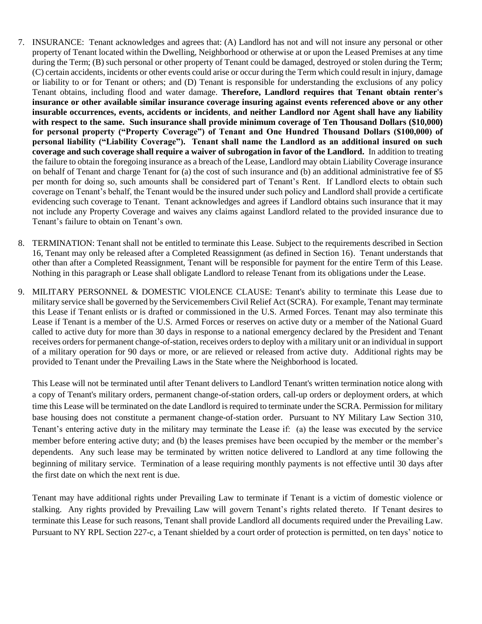- 7. INSURANCE: Tenant acknowledges and agrees that: (A) Landlord has not and will not insure any personal or other property of Tenant located within the Dwelling, Neighborhood or otherwise at or upon the Leased Premises at any time during the Term; (B) such personal or other property of Tenant could be damaged, destroyed or stolen during the Term; (C) certain accidents, incidents or other events could arise or occur during the Term which could result in injury, damage or liability to or for Tenant or others; and (D) Tenant is responsible for understanding the exclusions of any policy Tenant obtains, including flood and water damage. **Therefore, Landlord requires that Tenant obtain renter's insurance or other available similar insurance coverage insuring against events referenced above or any other insurable occurrences, events, accidents or incidents**, **and neither Landlord nor Agent shall have any liability with respect to the same. Such insurance shall provide minimum coverage of Ten Thousand Dollars (\$10,000) for personal property ("Property Coverage") of Tenant and One Hundred Thousand Dollars (\$100,000) of personal liability ("Liability Coverage"). Tenant shall name the Landlord as an additional insured on such coverage and such coverage shall require a waiver of subrogation in favor of the Landlord.** In addition to treating the failure to obtain the foregoing insurance as a breach of the Lease, Landlord may obtain Liability Coverage insurance on behalf of Tenant and charge Tenant for (a) the cost of such insurance and (b) an additional administrative fee of \$5 per month for doing so, such amounts shall be considered part of Tenant's Rent. If Landlord elects to obtain such coverage on Tenant's behalf, the Tenant would be the insured under such policy and Landlord shall provide a certificate evidencing such coverage to Tenant. Tenant acknowledges and agrees if Landlord obtains such insurance that it may not include any Property Coverage and waives any claims against Landlord related to the provided insurance due to Tenant's failure to obtain on Tenant's own.
- 8. TERMINATION: Tenant shall not be entitled to terminate this Lease. Subject to the requirements described in Section 16, Tenant may only be released after a Completed Reassignment (as defined in Section 16). Tenant understands that other than after a Completed Reassignment, Tenant will be responsible for payment for the entire Term of this Lease. Nothing in this paragraph or Lease shall obligate Landlord to release Tenant from its obligations under the Lease.
- 9. MILITARY PERSONNEL & DOMESTIC VIOLENCE CLAUSE: Tenant's ability to terminate this Lease due to military service shall be governed by the Servicemembers Civil Relief Act (SCRA). For example, Tenant may terminate this Lease if Tenant enlists or is drafted or commissioned in the U.S. Armed Forces. Tenant may also terminate this Lease if Tenant is a member of the U.S. Armed Forces or reserves on active duty or a member of the National Guard called to active duty for more than 30 days in response to a national emergency declared by the President and Tenant receives orders for permanent change-of-station, receives orders to deploy with a military unit or an individual in support of a military operation for 90 days or more, or are relieved or released from active duty. Additional rights may be provided to Tenant under the Prevailing Laws in the State where the Neighborhood is located.

This Lease will not be terminated until after Tenant delivers to Landlord Tenant's written termination notice along with a copy of Tenant's military orders, permanent change-of-station orders, call-up orders or deployment orders, at which time this Lease will be terminated on the date Landlord is required to terminate under the SCRA. Permission for military base housing does not constitute a permanent change-of-station order. Pursuant to NY Military Law Section 310, Tenant's entering active duty in the military may terminate the Lease if: (a) the lease was executed by the service member before entering active duty; and (b) the leases premises have been occupied by the member or the member's dependents. Any such lease may be terminated by written notice delivered to Landlord at any time following the beginning of military service. Termination of a lease requiring monthly payments is not effective until 30 days after the first date on which the next rent is due.

Tenant may have additional rights under Prevailing Law to terminate if Tenant is a victim of domestic violence or stalking. Any rights provided by Prevailing Law will govern Tenant's rights related thereto. If Tenant desires to terminate this Lease for such reasons, Tenant shall provide Landlord all documents required under the Prevailing Law. Pursuant to NY RPL Section 227-c, a Tenant shielded by a court order of protection is permitted, on ten days' notice to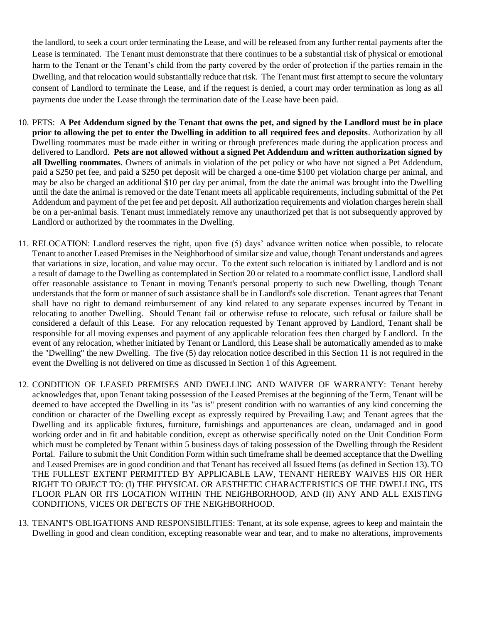the landlord, to seek a court order terminating the Lease, and will be released from any further rental payments after the Lease is terminated. The Tenant must demonstrate that there continues to be a substantial risk of physical or emotional harm to the Tenant or the Tenant's child from the party covered by the order of protection if the parties remain in the Dwelling, and that relocation would substantially reduce that risk. The Tenant must first attempt to secure the voluntary consent of Landlord to terminate the Lease, and if the request is denied, a court may order termination as long as all payments due under the Lease through the termination date of the Lease have been paid.

- 10. PETS: **A Pet Addendum signed by the Tenant that owns the pet, and signed by the Landlord must be in place prior to allowing the pet to enter the Dwelling in addition to all required fees and deposits**. Authorization by all Dwelling roommates must be made either in writing or through preferences made during the application process and delivered to Landlord. **Pets are not allowed without a signed Pet Addendum and written authorization signed by all Dwelling roommates**. Owners of animals in violation of the pet policy or who have not signed a Pet Addendum, paid a \$250 pet fee, and paid a \$250 pet deposit will be charged a one-time \$100 pet violation charge per animal, and may be also be charged an additional \$10 per day per animal, from the date the animal was brought into the Dwelling until the date the animal is removed or the date Tenant meets all applicable requirements, including submittal of the Pet Addendum and payment of the pet fee and pet deposit. All authorization requirements and violation charges herein shall be on a per-animal basis. Tenant must immediately remove any unauthorized pet that is not subsequently approved by Landlord or authorized by the roommates in the Dwelling.
- 11. RELOCATION: Landlord reserves the right, upon five (5) days' advance written notice when possible, to relocate Tenant to another Leased Premises in the Neighborhood of similar size and value, though Tenant understands and agrees that variations in size, location, and value may occur. To the extent such relocation is initiated by Landlord and is not a result of damage to the Dwelling as contemplated in Section 20 or related to a roommate conflict issue, Landlord shall offer reasonable assistance to Tenant in moving Tenant's personal property to such new Dwelling, though Tenant understands that the form or manner of such assistance shall be in Landlord's sole discretion. Tenant agrees that Tenant shall have no right to demand reimbursement of any kind related to any separate expenses incurred by Tenant in relocating to another Dwelling. Should Tenant fail or otherwise refuse to relocate, such refusal or failure shall be considered a default of this Lease. For any relocation requested by Tenant approved by Landlord, Tenant shall be responsible for all moving expenses and payment of any applicable relocation fees then charged by Landlord. In the event of any relocation, whether initiated by Tenant or Landlord, this Lease shall be automatically amended as to make the "Dwelling" the new Dwelling. The five (5) day relocation notice described in this Section 11 is not required in the event the Dwelling is not delivered on time as discussed in Section 1 of this Agreement.
- 12. CONDITION OF LEASED PREMISES AND DWELLING AND WAIVER OF WARRANTY: Tenant hereby acknowledges that, upon Tenant taking possession of the Leased Premises at the beginning of the Term, Tenant will be deemed to have accepted the Dwelling in its "as is" present condition with no warranties of any kind concerning the condition or character of the Dwelling except as expressly required by Prevailing Law; and Tenant agrees that the Dwelling and its applicable fixtures, furniture, furnishings and appurtenances are clean, undamaged and in good working order and in fit and habitable condition, except as otherwise specifically noted on the Unit Condition Form which must be completed by Tenant within 5 business days of taking possession of the Dwelling through the Resident Portal. Failure to submit the Unit Condition Form within such timeframe shall be deemed acceptance that the Dwelling and Leased Premises are in good condition and that Tenant has received all Issued Items (as defined in Section 13). TO THE FULLEST EXTENT PERMITTED BY APPLICABLE LAW, TENANT HEREBY WAIVES HIS OR HER RIGHT TO OBJECT TO: (I) THE PHYSICAL OR AESTHETIC CHARACTERISTICS OF THE DWELLING, ITS FLOOR PLAN OR ITS LOCATION WITHIN THE NEIGHBORHOOD, AND (II) ANY AND ALL EXISTING CONDITIONS, VICES OR DEFECTS OF THE NEIGHBORHOOD.
- 13. TENANT'S OBLIGATIONS AND RESPONSIBILITIES: Tenant, at its sole expense, agrees to keep and maintain the Dwelling in good and clean condition, excepting reasonable wear and tear, and to make no alterations, improvements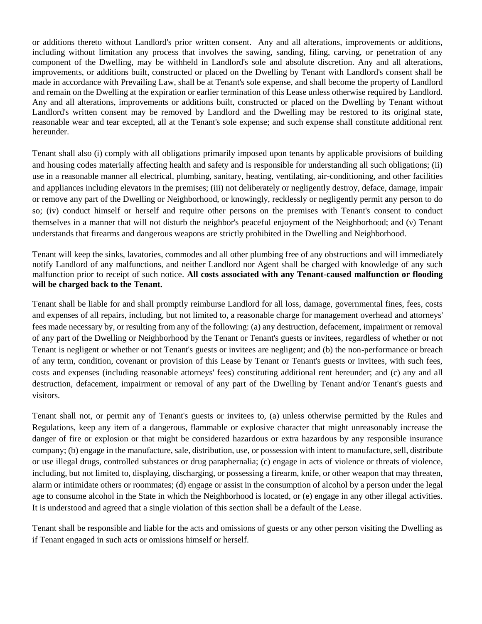or additions thereto without Landlord's prior written consent. Any and all alterations, improvements or additions, including without limitation any process that involves the sawing, sanding, filing, carving, or penetration of any component of the Dwelling, may be withheld in Landlord's sole and absolute discretion. Any and all alterations, improvements, or additions built, constructed or placed on the Dwelling by Tenant with Landlord's consent shall be made in accordance with Prevailing Law, shall be at Tenant's sole expense, and shall become the property of Landlord and remain on the Dwelling at the expiration or earlier termination of this Lease unless otherwise required by Landlord. Any and all alterations, improvements or additions built, constructed or placed on the Dwelling by Tenant without Landlord's written consent may be removed by Landlord and the Dwelling may be restored to its original state, reasonable wear and tear excepted, all at the Tenant's sole expense; and such expense shall constitute additional rent hereunder.

Tenant shall also (i) comply with all obligations primarily imposed upon tenants by applicable provisions of building and housing codes materially affecting health and safety and is responsible for understanding all such obligations; (ii) use in a reasonable manner all electrical, plumbing, sanitary, heating, ventilating, air-conditioning, and other facilities and appliances including elevators in the premises; (iii) not deliberately or negligently destroy, deface, damage, impair or remove any part of the Dwelling or Neighborhood, or knowingly, recklessly or negligently permit any person to do so; (iv) conduct himself or herself and require other persons on the premises with Tenant's consent to conduct themselves in a manner that will not disturb the neighbor's peaceful enjoyment of the Neighborhood; and (v) Tenant understands that firearms and dangerous weapons are strictly prohibited in the Dwelling and Neighborhood.

Tenant will keep the sinks, lavatories, commodes and all other plumbing free of any obstructions and will immediately notify Landlord of any malfunctions, and neither Landlord nor Agent shall be charged with knowledge of any such malfunction prior to receipt of such notice. **All costs associated with any Tenant-caused malfunction or flooding will be charged back to the Tenant.**

Tenant shall be liable for and shall promptly reimburse Landlord for all loss, damage, governmental fines, fees, costs and expenses of all repairs, including, but not limited to, a reasonable charge for management overhead and attorneys' fees made necessary by, or resulting from any of the following: (a) any destruction, defacement, impairment or removal of any part of the Dwelling or Neighborhood by the Tenant or Tenant's guests or invitees, regardless of whether or not Tenant is negligent or whether or not Tenant's guests or invitees are negligent; and (b) the non-performance or breach of any term, condition, covenant or provision of this Lease by Tenant or Tenant's guests or invitees, with such fees, costs and expenses (including reasonable attorneys' fees) constituting additional rent hereunder; and (c) any and all destruction, defacement, impairment or removal of any part of the Dwelling by Tenant and/or Tenant's guests and visitors.

Tenant shall not, or permit any of Tenant's guests or invitees to, (a) unless otherwise permitted by the Rules and Regulations, keep any item of a dangerous, flammable or explosive character that might unreasonably increase the danger of fire or explosion or that might be considered hazardous or extra hazardous by any responsible insurance company; (b) engage in the manufacture, sale, distribution, use, or possession with intent to manufacture, sell, distribute or use illegal drugs, controlled substances or drug paraphernalia; (c) engage in acts of violence or threats of violence, including, but not limited to, displaying, discharging, or possessing a firearm, knife, or other weapon that may threaten, alarm or intimidate others or roommates; (d) engage or assist in the consumption of alcohol by a person under the legal age to consume alcohol in the State in which the Neighborhood is located, or (e) engage in any other illegal activities. It is understood and agreed that a single violation of this section shall be a default of the Lease.

Tenant shall be responsible and liable for the acts and omissions of guests or any other person visiting the Dwelling as if Tenant engaged in such acts or omissions himself or herself.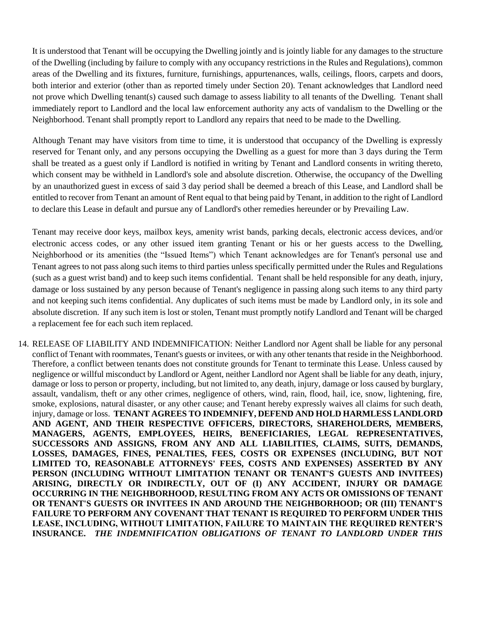It is understood that Tenant will be occupying the Dwelling jointly and is jointly liable for any damages to the structure of the Dwelling (including by failure to comply with any occupancy restrictions in the Rules and Regulations), common areas of the Dwelling and its fixtures, furniture, furnishings, appurtenances, walls, ceilings, floors, carpets and doors, both interior and exterior (other than as reported timely under Section 20). Tenant acknowledges that Landlord need not prove which Dwelling tenant(s) caused such damage to assess liability to all tenants of the Dwelling. Tenant shall immediately report to Landlord and the local law enforcement authority any acts of vandalism to the Dwelling or the Neighborhood. Tenant shall promptly report to Landlord any repairs that need to be made to the Dwelling.

Although Tenant may have visitors from time to time, it is understood that occupancy of the Dwelling is expressly reserved for Tenant only, and any persons occupying the Dwelling as a guest for more than 3 days during the Term shall be treated as a guest only if Landlord is notified in writing by Tenant and Landlord consents in writing thereto, which consent may be withheld in Landlord's sole and absolute discretion. Otherwise, the occupancy of the Dwelling by an unauthorized guest in excess of said 3 day period shall be deemed a breach of this Lease, and Landlord shall be entitled to recover from Tenant an amount of Rent equal to that being paid by Tenant, in addition to the right of Landlord to declare this Lease in default and pursue any of Landlord's other remedies hereunder or by Prevailing Law.

Tenant may receive door keys, mailbox keys, amenity wrist bands, parking decals, electronic access devices, and/or electronic access codes, or any other issued item granting Tenant or his or her guests access to the Dwelling, Neighborhood or its amenities (the "Issued Items") which Tenant acknowledges are for Tenant's personal use and Tenant agrees to not pass along such items to third parties unless specifically permitted under the Rules and Regulations (such as a guest wrist band) and to keep such items confidential. Tenant shall be held responsible for any death, injury, damage or loss sustained by any person because of Tenant's negligence in passing along such items to any third party and not keeping such items confidential. Any duplicates of such items must be made by Landlord only, in its sole and absolute discretion. If any such item is lost or stolen, Tenant must promptly notify Landlord and Tenant will be charged a replacement fee for each such item replaced.

14. RELEASE OF LIABILITY AND INDEMNIFICATION: Neither Landlord nor Agent shall be liable for any personal conflict of Tenant with roommates, Tenant's guests or invitees, or with any other tenants that reside in the Neighborhood. Therefore, a conflict between tenants does not constitute grounds for Tenant to terminate this Lease. Unless caused by negligence or willful misconduct by Landlord or Agent, neither Landlord nor Agent shall be liable for any death, injury, damage or loss to person or property, including, but not limited to, any death, injury, damage or loss caused by burglary, assault, vandalism, theft or any other crimes, negligence of others, wind, rain, flood, hail, ice, snow, lightening, fire, smoke, explosions, natural disaster, or any other cause; and Tenant hereby expressly waives all claims for such death, injury, damage or loss. **TENANT AGREES TO INDEMNIFY, DEFEND AND HOLD HARMLESS LANDLORD AND AGENT, AND THEIR RESPECTIVE OFFICERS, DIRECTORS, SHAREHOLDERS, MEMBERS, MANAGERS, AGENTS, EMPLOYEES, HEIRS, BENEFICIARIES, LEGAL REPRESENTATIVES, SUCCESSORS AND ASSIGNS, FROM ANY AND ALL LIABILITIES, CLAIMS, SUITS, DEMANDS, LOSSES, DAMAGES, FINES, PENALTIES, FEES, COSTS OR EXPENSES (INCLUDING, BUT NOT LIMITED TO, REASONABLE ATTORNEYS' FEES, COSTS AND EXPENSES) ASSERTED BY ANY PERSON (INCLUDING WITHOUT LIMITATION TENANT OR TENANT'S GUESTS AND INVITEES) ARISING, DIRECTLY OR INDIRECTLY, OUT OF (I) ANY ACCIDENT, INJURY OR DAMAGE OCCURRING IN THE NEIGHBORHOOD, RESULTING FROM ANY ACTS OR OMISSIONS OF TENANT OR TENANT'S GUESTS OR INVITEES IN AND AROUND THE NEIGHBORHOOD; OR (III) TENANT'S FAILURE TO PERFORM ANY COVENANT THAT TENANT IS REQUIRED TO PERFORM UNDER THIS LEASE, INCLUDING, WITHOUT LIMITATION, FAILURE TO MAINTAIN THE REQUIRED RENTER'S INSURANCE.** *THE INDEMNIFICATION OBLIGATIONS OF TENANT TO LANDLORD UNDER THIS*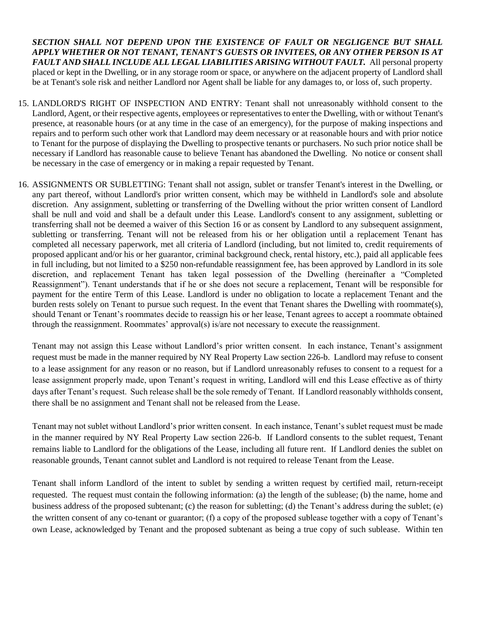*SECTION SHALL NOT DEPEND UPON THE EXISTENCE OF FAULT OR NEGLIGENCE BUT SHALL APPLY WHETHER OR NOT TENANT, TENANT'S GUESTS OR INVITEES, OR ANY OTHER PERSON IS AT FAULT AND SHALL INCLUDE ALL LEGAL LIABILITIES ARISING WITHOUT FAULT.* All personal property placed or kept in the Dwelling, or in any storage room or space, or anywhere on the adjacent property of Landlord shall be at Tenant's sole risk and neither Landlord nor Agent shall be liable for any damages to, or loss of, such property.

- 15. LANDLORD'S RIGHT OF INSPECTION AND ENTRY: Tenant shall not unreasonably withhold consent to the Landlord, Agent, or their respective agents, employees or representatives to enter the Dwelling, with or without Tenant's presence, at reasonable hours (or at any time in the case of an emergency), for the purpose of making inspections and repairs and to perform such other work that Landlord may deem necessary or at reasonable hours and with prior notice to Tenant for the purpose of displaying the Dwelling to prospective tenants or purchasers. No such prior notice shall be necessary if Landlord has reasonable cause to believe Tenant has abandoned the Dwelling. No notice or consent shall be necessary in the case of emergency or in making a repair requested by Tenant.
- 16. ASSIGNMENTS OR SUBLETTING: Tenant shall not assign, sublet or transfer Tenant's interest in the Dwelling, or any part thereof, without Landlord's prior written consent, which may be withheld in Landlord's sole and absolute discretion. Any assignment, subletting or transferring of the Dwelling without the prior written consent of Landlord shall be null and void and shall be a default under this Lease. Landlord's consent to any assignment, subletting or transferring shall not be deemed a waiver of this Section 16 or as consent by Landlord to any subsequent assignment, subletting or transferring. Tenant will not be released from his or her obligation until a replacement Tenant has completed all necessary paperwork, met all criteria of Landlord (including, but not limited to, credit requirements of proposed applicant and/or his or her guarantor, criminal background check, rental history, etc.), paid all applicable fees in full including, but not limited to a \$250 non-refundable reassignment fee, has been approved by Landlord in its sole discretion, and replacement Tenant has taken legal possession of the Dwelling (hereinafter a "Completed Reassignment"). Tenant understands that if he or she does not secure a replacement, Tenant will be responsible for payment for the entire Term of this Lease. Landlord is under no obligation to locate a replacement Tenant and the burden rests solely on Tenant to pursue such request. In the event that Tenant shares the Dwelling with roommate(s), should Tenant or Tenant's roommates decide to reassign his or her lease, Tenant agrees to accept a roommate obtained through the reassignment. Roommates' approval(s) is/are not necessary to execute the reassignment.

Tenant may not assign this Lease without Landlord's prior written consent. In each instance, Tenant's assignment request must be made in the manner required by NY Real Property Law section 226-b. Landlord may refuse to consent to a lease assignment for any reason or no reason, but if Landlord unreasonably refuses to consent to a request for a lease assignment properly made, upon Tenant's request in writing, Landlord will end this Lease effective as of thirty days after Tenant's request. Such release shall be the sole remedy of Tenant. If Landlord reasonably withholds consent, there shall be no assignment and Tenant shall not be released from the Lease.

Tenant may not sublet without Landlord's prior written consent. In each instance, Tenant's sublet request must be made in the manner required by NY Real Property Law section 226-b. If Landlord consents to the sublet request, Tenant remains liable to Landlord for the obligations of the Lease, including all future rent. If Landlord denies the sublet on reasonable grounds, Tenant cannot sublet and Landlord is not required to release Tenant from the Lease.

Tenant shall inform Landlord of the intent to sublet by sending a written request by certified mail, return-receipt requested. The request must contain the following information: (a) the length of the sublease; (b) the name, home and business address of the proposed subtenant; (c) the reason for subletting; (d) the Tenant's address during the sublet; (e) the written consent of any co-tenant or guarantor; (f) a copy of the proposed sublease together with a copy of Tenant's own Lease, acknowledged by Tenant and the proposed subtenant as being a true copy of such sublease. Within ten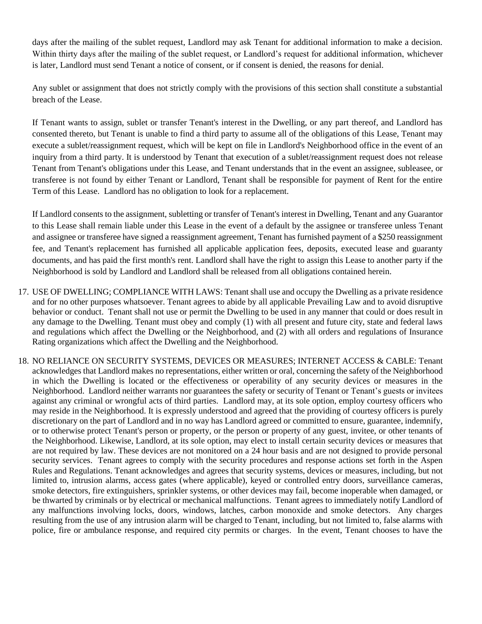days after the mailing of the sublet request, Landlord may ask Tenant for additional information to make a decision. Within thirty days after the mailing of the sublet request, or Landlord's request for additional information, whichever is later, Landlord must send Tenant a notice of consent, or if consent is denied, the reasons for denial.

Any sublet or assignment that does not strictly comply with the provisions of this section shall constitute a substantial breach of the Lease.

If Tenant wants to assign, sublet or transfer Tenant's interest in the Dwelling, or any part thereof, and Landlord has consented thereto, but Tenant is unable to find a third party to assume all of the obligations of this Lease, Tenant may execute a sublet/reassignment request, which will be kept on file in Landlord's Neighborhood office in the event of an inquiry from a third party. It is understood by Tenant that execution of a sublet/reassignment request does not release Tenant from Tenant's obligations under this Lease, and Tenant understands that in the event an assignee, subleasee, or transferee is not found by either Tenant or Landlord, Tenant shall be responsible for payment of Rent for the entire Term of this Lease. Landlord has no obligation to look for a replacement.

If Landlord consents to the assignment, subletting or transfer of Tenant's interest in Dwelling, Tenant and any Guarantor to this Lease shall remain liable under this Lease in the event of a default by the assignee or transferee unless Tenant and assignee or transferee have signed a reassignment agreement, Tenant has furnished payment of a \$250 reassignment fee, and Tenant's replacement has furnished all applicable application fees, deposits, executed lease and guaranty documents, and has paid the first month's rent. Landlord shall have the right to assign this Lease to another party if the Neighborhood is sold by Landlord and Landlord shall be released from all obligations contained herein.

- 17. USE OF DWELLING; COMPLIANCE WITH LAWS: Tenant shall use and occupy the Dwelling as a private residence and for no other purposes whatsoever. Tenant agrees to abide by all applicable Prevailing Law and to avoid disruptive behavior or conduct. Tenant shall not use or permit the Dwelling to be used in any manner that could or does result in any damage to the Dwelling. Tenant must obey and comply (1) with all present and future city, state and federal laws and regulations which affect the Dwelling or the Neighborhood, and (2) with all orders and regulations of Insurance Rating organizations which affect the Dwelling and the Neighborhood.
- 18. NO RELIANCE ON SECURITY SYSTEMS, DEVICES OR MEASURES; INTERNET ACCESS & CABLE: Tenant acknowledges that Landlord makes no representations, either written or oral, concerning the safety of the Neighborhood in which the Dwelling is located or the effectiveness or operability of any security devices or measures in the Neighborhood. Landlord neither warrants nor guarantees the safety or security of Tenant or Tenant's guests or invitees against any criminal or wrongful acts of third parties. Landlord may, at its sole option, employ courtesy officers who may reside in the Neighborhood. It is expressly understood and agreed that the providing of courtesy officers is purely discretionary on the part of Landlord and in no way has Landlord agreed or committed to ensure, guarantee, indemnify, or to otherwise protect Tenant's person or property, or the person or property of any guest, invitee, or other tenants of the Neighborhood. Likewise, Landlord, at its sole option, may elect to install certain security devices or measures that are not required by law. These devices are not monitored on a 24 hour basis and are not designed to provide personal security services. Tenant agrees to comply with the security procedures and response actions set forth in the Aspen Rules and Regulations. Tenant acknowledges and agrees that security systems, devices or measures, including, but not limited to, intrusion alarms, access gates (where applicable), keyed or controlled entry doors, surveillance cameras, smoke detectors, fire extinguishers, sprinkler systems, or other devices may fail, become inoperable when damaged, or be thwarted by criminals or by electrical or mechanical malfunctions. Tenant agrees to immediately notify Landlord of any malfunctions involving locks, doors, windows, latches, carbon monoxide and smoke detectors. Any charges resulting from the use of any intrusion alarm will be charged to Tenant, including, but not limited to, false alarms with police, fire or ambulance response, and required city permits or charges. In the event, Tenant chooses to have the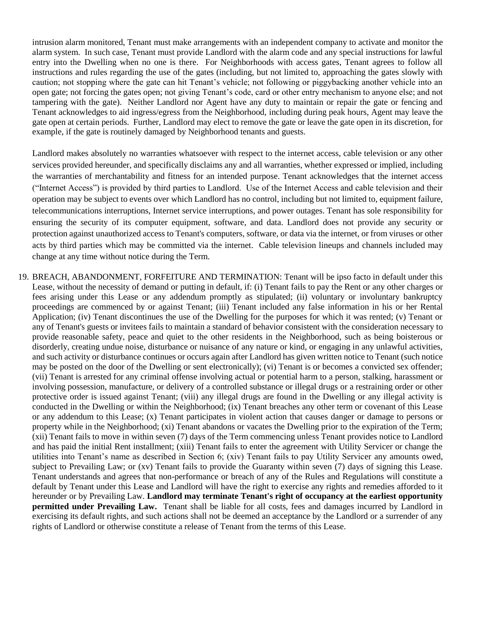intrusion alarm monitored, Tenant must make arrangements with an independent company to activate and monitor the alarm system. In such case, Tenant must provide Landlord with the alarm code and any special instructions for lawful entry into the Dwelling when no one is there. For Neighborhoods with access gates, Tenant agrees to follow all instructions and rules regarding the use of the gates (including, but not limited to, approaching the gates slowly with caution; not stopping where the gate can hit Tenant's vehicle; not following or piggybacking another vehicle into an open gate; not forcing the gates open; not giving Tenant's code, card or other entry mechanism to anyone else; and not tampering with the gate). Neither Landlord nor Agent have any duty to maintain or repair the gate or fencing and Tenant acknowledges to aid ingress/egress from the Neighborhood, including during peak hours, Agent may leave the gate open at certain periods. Further, Landlord may elect to remove the gate or leave the gate open in its discretion, for example, if the gate is routinely damaged by Neighborhood tenants and guests.

Landlord makes absolutely no warranties whatsoever with respect to the internet access, cable television or any other services provided hereunder, and specifically disclaims any and all warranties, whether expressed or implied, including the warranties of merchantability and fitness for an intended purpose. Tenant acknowledges that the internet access ("Internet Access") is provided by third parties to Landlord. Use of the Internet Access and cable television and their operation may be subject to events over which Landlord has no control, including but not limited to, equipment failure, telecommunications interruptions, Internet service interruptions, and power outages. Tenant has sole responsibility for ensuring the security of its computer equipment, software, and data. Landlord does not provide any security or protection against unauthorized access to Tenant's computers, software, or data via the internet, or from viruses or other acts by third parties which may be committed via the internet. Cable television lineups and channels included may change at any time without notice during the Term.

19. BREACH, ABANDONMENT, FORFEITURE AND TERMINATION: Tenant will be ipso facto in default under this Lease, without the necessity of demand or putting in default, if: (i) Tenant fails to pay the Rent or any other charges or fees arising under this Lease or any addendum promptly as stipulated; (ii) voluntary or involuntary bankruptcy proceedings are commenced by or against Tenant; (iii) Tenant included any false information in his or her Rental Application; (iv) Tenant discontinues the use of the Dwelling for the purposes for which it was rented; (v) Tenant or any of Tenant's guests or invitees fails to maintain a standard of behavior consistent with the consideration necessary to provide reasonable safety, peace and quiet to the other residents in the Neighborhood, such as being boisterous or disorderly, creating undue noise, disturbance or nuisance of any nature or kind, or engaging in any unlawful activities, and such activity or disturbance continues or occurs again after Landlord has given written notice to Tenant (such notice may be posted on the door of the Dwelling or sent electronically); (vi) Tenant is or becomes a convicted sex offender; (vii) Tenant is arrested for any criminal offense involving actual or potential harm to a person, stalking, harassment or involving possession, manufacture, or delivery of a controlled substance or illegal drugs or a restraining order or other protective order is issued against Tenant; (viii) any illegal drugs are found in the Dwelling or any illegal activity is conducted in the Dwelling or within the Neighborhood; (ix) Tenant breaches any other term or covenant of this Lease or any addendum to this Lease; (x) Tenant participates in violent action that causes danger or damage to persons or property while in the Neighborhood; (xi) Tenant abandons or vacates the Dwelling prior to the expiration of the Term; (xii) Tenant fails to move in within seven (7) days of the Term commencing unless Tenant provides notice to Landlord and has paid the initial Rent installment; (xiii) Tenant fails to enter the agreement with Utility Servicer or change the utilities into Tenant's name as described in Section 6; (xiv) Tenant fails to pay Utility Servicer any amounts owed, subject to Prevailing Law; or (xv) Tenant fails to provide the Guaranty within seven (7) days of signing this Lease. Tenant understands and agrees that non-performance or breach of any of the Rules and Regulations will constitute a default by Tenant under this Lease and Landlord will have the right to exercise any rights and remedies afforded to it hereunder or by Prevailing Law. **Landlord may terminate Tenant's right of occupancy at the earliest opportunity permitted under Prevailing Law.** Tenant shall be liable for all costs, fees and damages incurred by Landlord in exercising its default rights, and such actions shall not be deemed an acceptance by the Landlord or a surrender of any rights of Landlord or otherwise constitute a release of Tenant from the terms of this Lease.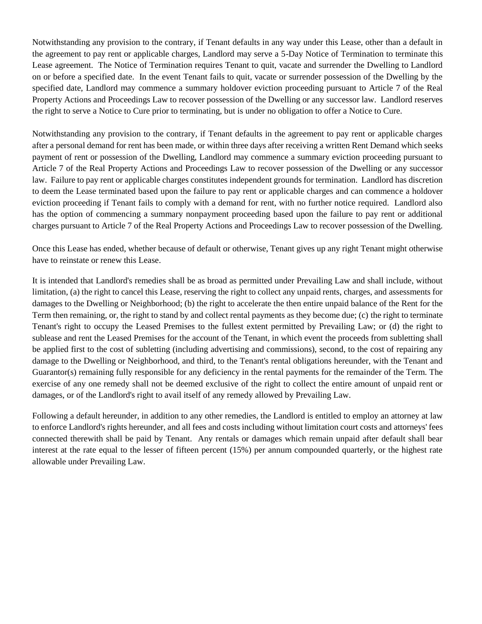Notwithstanding any provision to the contrary, if Tenant defaults in any way under this Lease, other than a default in the agreement to pay rent or applicable charges, Landlord may serve a 5-Day Notice of Termination to terminate this Lease agreement. The Notice of Termination requires Tenant to quit, vacate and surrender the Dwelling to Landlord on or before a specified date. In the event Tenant fails to quit, vacate or surrender possession of the Dwelling by the specified date, Landlord may commence a summary holdover eviction proceeding pursuant to Article 7 of the Real Property Actions and Proceedings Law to recover possession of the Dwelling or any successor law. Landlord reserves the right to serve a Notice to Cure prior to terminating, but is under no obligation to offer a Notice to Cure.

Notwithstanding any provision to the contrary, if Tenant defaults in the agreement to pay rent or applicable charges after a personal demand for rent has been made, or within three days after receiving a written Rent Demand which seeks payment of rent or possession of the Dwelling, Landlord may commence a summary eviction proceeding pursuant to Article 7 of the Real Property Actions and Proceedings Law to recover possession of the Dwelling or any successor law. Failure to pay rent or applicable charges constitutes independent grounds for termination. Landlord has discretion to deem the Lease terminated based upon the failure to pay rent or applicable charges and can commence a holdover eviction proceeding if Tenant fails to comply with a demand for rent, with no further notice required. Landlord also has the option of commencing a summary nonpayment proceeding based upon the failure to pay rent or additional charges pursuant to Article 7 of the Real Property Actions and Proceedings Law to recover possession of the Dwelling.

Once this Lease has ended, whether because of default or otherwise, Tenant gives up any right Tenant might otherwise have to reinstate or renew this Lease.

It is intended that Landlord's remedies shall be as broad as permitted under Prevailing Law and shall include, without limitation, (a) the right to cancel this Lease, reserving the right to collect any unpaid rents, charges, and assessments for damages to the Dwelling or Neighborhood; (b) the right to accelerate the then entire unpaid balance of the Rent for the Term then remaining, or, the right to stand by and collect rental payments as they become due; (c) the right to terminate Tenant's right to occupy the Leased Premises to the fullest extent permitted by Prevailing Law; or (d) the right to sublease and rent the Leased Premises for the account of the Tenant, in which event the proceeds from subletting shall be applied first to the cost of subletting (including advertising and commissions), second, to the cost of repairing any damage to the Dwelling or Neighborhood, and third, to the Tenant's rental obligations hereunder, with the Tenant and Guarantor(s) remaining fully responsible for any deficiency in the rental payments for the remainder of the Term. The exercise of any one remedy shall not be deemed exclusive of the right to collect the entire amount of unpaid rent or damages, or of the Landlord's right to avail itself of any remedy allowed by Prevailing Law.

Following a default hereunder, in addition to any other remedies, the Landlord is entitled to employ an attorney at law to enforce Landlord's rights hereunder, and all fees and costs including without limitation court costs and attorneys' fees connected therewith shall be paid by Tenant. Any rentals or damages which remain unpaid after default shall bear interest at the rate equal to the lesser of fifteen percent (15%) per annum compounded quarterly, or the highest rate allowable under Prevailing Law.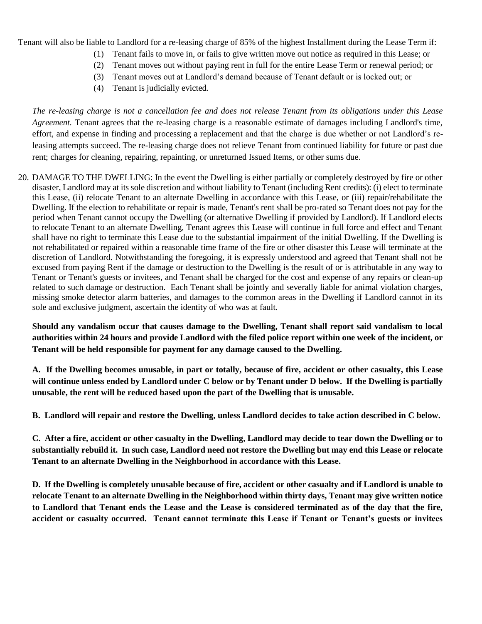Tenant will also be liable to Landlord for a re-leasing charge of 85% of the highest Installment during the Lease Term if:

- (1) Tenant fails to move in, or fails to give written move out notice as required in this Lease; or
- (2) Tenant moves out without paying rent in full for the entire Lease Term or renewal period; or
- (3) Tenant moves out at Landlord's demand because of Tenant default or is locked out; or
- (4) Tenant is judicially evicted.

*The re-leasing charge is not a cancellation fee and does not release Tenant from its obligations under this Lease Agreement.* Tenant agrees that the re-leasing charge is a reasonable estimate of damages including Landlord's time, effort, and expense in finding and processing a replacement and that the charge is due whether or not Landlord's releasing attempts succeed. The re-leasing charge does not relieve Tenant from continued liability for future or past due rent; charges for cleaning, repairing, repainting, or unreturned Issued Items, or other sums due.

20. DAMAGE TO THE DWELLING: In the event the Dwelling is either partially or completely destroyed by fire or other disaster, Landlord may at its sole discretion and without liability to Tenant (including Rent credits): (i) elect to terminate this Lease, (ii) relocate Tenant to an alternate Dwelling in accordance with this Lease, or (iii) repair/rehabilitate the Dwelling. If the election to rehabilitate or repair is made, Tenant's rent shall be pro-rated so Tenant does not pay for the period when Tenant cannot occupy the Dwelling (or alternative Dwelling if provided by Landlord). If Landlord elects to relocate Tenant to an alternate Dwelling, Tenant agrees this Lease will continue in full force and effect and Tenant shall have no right to terminate this Lease due to the substantial impairment of the initial Dwelling. If the Dwelling is not rehabilitated or repaired within a reasonable time frame of the fire or other disaster this Lease will terminate at the discretion of Landlord. Notwithstanding the foregoing, it is expressly understood and agreed that Tenant shall not be excused from paying Rent if the damage or destruction to the Dwelling is the result of or is attributable in any way to Tenant or Tenant's guests or invitees, and Tenant shall be charged for the cost and expense of any repairs or clean-up related to such damage or destruction. Each Tenant shall be jointly and severally liable for animal violation charges, missing smoke detector alarm batteries, and damages to the common areas in the Dwelling if Landlord cannot in its sole and exclusive judgment, ascertain the identity of who was at fault.

**Should any vandalism occur that causes damage to the Dwelling, Tenant shall report said vandalism to local authorities within 24 hours and provide Landlord with the filed police report within one week of the incident, or Tenant will be held responsible for payment for any damage caused to the Dwelling.**

**A. If the Dwelling becomes unusable, in part or totally, because of fire, accident or other casualty, this Lease will continue unless ended by Landlord under C below or by Tenant under D below. If the Dwelling is partially unusable, the rent will be reduced based upon the part of the Dwelling that is unusable.**

**B. Landlord will repair and restore the Dwelling, unless Landlord decides to take action described in C below.**

**C. After a fire, accident or other casualty in the Dwelling, Landlord may decide to tear down the Dwelling or to substantially rebuild it. In such case, Landlord need not restore the Dwelling but may end this Lease or relocate Tenant to an alternate Dwelling in the Neighborhood in accordance with this Lease.** 

**D. If the Dwelling is completely unusable because of fire, accident or other casualty and if Landlord is unable to relocate Tenant to an alternate Dwelling in the Neighborhood within thirty days, Tenant may give written notice to Landlord that Tenant ends the Lease and the Lease is considered terminated as of the day that the fire, accident or casualty occurred. Tenant cannot terminate this Lease if Tenant or Tenant's guests or invitees**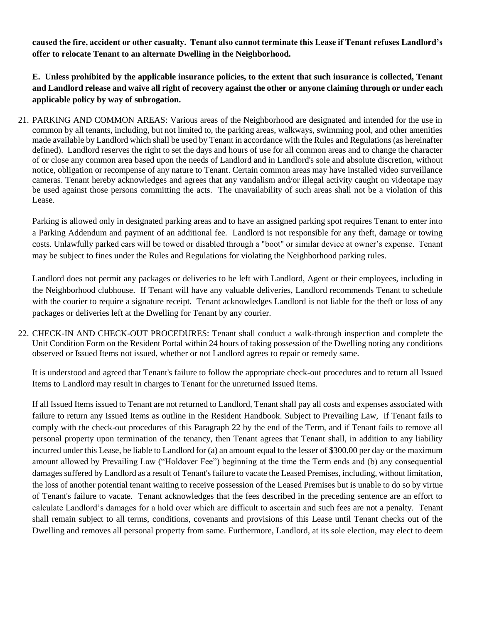**caused the fire, accident or other casualty. Tenant also cannot terminate this Lease if Tenant refuses Landlord's offer to relocate Tenant to an alternate Dwelling in the Neighborhood.** 

**E. Unless prohibited by the applicable insurance policies, to the extent that such insurance is collected, Tenant and Landlord release and waive all right of recovery against the other or anyone claiming through or under each applicable policy by way of subrogation.**

21. PARKING AND COMMON AREAS: Various areas of the Neighborhood are designated and intended for the use in common by all tenants, including, but not limited to, the parking areas, walkways, swimming pool, and other amenities made available by Landlord which shall be used by Tenant in accordance with the Rules and Regulations (as hereinafter defined). Landlord reserves the right to set the days and hours of use for all common areas and to change the character of or close any common area based upon the needs of Landlord and in Landlord's sole and absolute discretion, without notice, obligation or recompense of any nature to Tenant. Certain common areas may have installed video surveillance cameras. Tenant hereby acknowledges and agrees that any vandalism and/or illegal activity caught on videotape may be used against those persons committing the acts. The unavailability of such areas shall not be a violation of this Lease.

Parking is allowed only in designated parking areas and to have an assigned parking spot requires Tenant to enter into a Parking Addendum and payment of an additional fee. Landlord is not responsible for any theft, damage or towing costs. Unlawfully parked cars will be towed or disabled through a "boot" or similar device at owner's expense. Tenant may be subject to fines under the Rules and Regulations for violating the Neighborhood parking rules.

Landlord does not permit any packages or deliveries to be left with Landlord, Agent or their employees, including in the Neighborhood clubhouse. If Tenant will have any valuable deliveries, Landlord recommends Tenant to schedule with the courier to require a signature receipt. Tenant acknowledges Landlord is not liable for the theft or loss of any packages or deliveries left at the Dwelling for Tenant by any courier.

22. CHECK-IN AND CHECK-OUT PROCEDURES: Tenant shall conduct a walk-through inspection and complete the Unit Condition Form on the Resident Portal within 24 hours of taking possession of the Dwelling noting any conditions observed or Issued Items not issued, whether or not Landlord agrees to repair or remedy same.

It is understood and agreed that Tenant's failure to follow the appropriate check-out procedures and to return all Issued Items to Landlord may result in charges to Tenant for the unreturned Issued Items.

If all Issued Items issued to Tenant are not returned to Landlord, Tenant shall pay all costs and expenses associated with failure to return any Issued Items as outline in the Resident Handbook. Subject to Prevailing Law, if Tenant fails to comply with the check-out procedures of this Paragraph 22 by the end of the Term, and if Tenant fails to remove all personal property upon termination of the tenancy, then Tenant agrees that Tenant shall, in addition to any liability incurred under this Lease, be liable to Landlord for (a) an amount equal to the lesser of \$300.00 per day or the maximum amount allowed by Prevailing Law ("Holdover Fee") beginning at the time the Term ends and (b) any consequential damages suffered by Landlord as a result of Tenant's failure to vacate the Leased Premises, including, without limitation, the loss of another potential tenant waiting to receive possession of the Leased Premises but is unable to do so by virtue of Tenant's failure to vacate. Tenant acknowledges that the fees described in the preceding sentence are an effort to calculate Landlord's damages for a hold over which are difficult to ascertain and such fees are not a penalty. Tenant shall remain subject to all terms, conditions, covenants and provisions of this Lease until Tenant checks out of the Dwelling and removes all personal property from same. Furthermore, Landlord, at its sole election, may elect to deem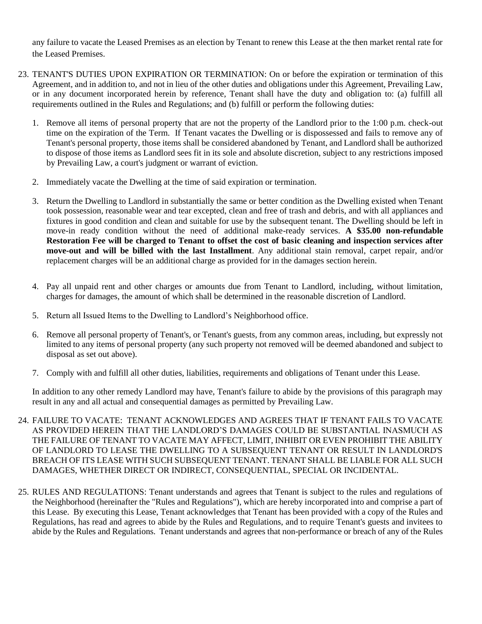any failure to vacate the Leased Premises as an election by Tenant to renew this Lease at the then market rental rate for the Leased Premises.

- 23. TENANT'S DUTIES UPON EXPIRATION OR TERMINATION: On or before the expiration or termination of this Agreement, and in addition to, and not in lieu of the other duties and obligations under this Agreement, Prevailing Law, or in any document incorporated herein by reference, Tenant shall have the duty and obligation to: (a) fulfill all requirements outlined in the Rules and Regulations; and (b) fulfill or perform the following duties:
	- 1. Remove all items of personal property that are not the property of the Landlord prior to the 1:00 p.m. check-out time on the expiration of the Term. If Tenant vacates the Dwelling or is dispossessed and fails to remove any of Tenant's personal property, those items shall be considered abandoned by Tenant, and Landlord shall be authorized to dispose of those items as Landlord sees fit in its sole and absolute discretion, subject to any restrictions imposed by Prevailing Law, a court's judgment or warrant of eviction.
	- 2. Immediately vacate the Dwelling at the time of said expiration or termination.
	- 3. Return the Dwelling to Landlord in substantially the same or better condition as the Dwelling existed when Tenant took possession, reasonable wear and tear excepted, clean and free of trash and debris, and with all appliances and fixtures in good condition and clean and suitable for use by the subsequent tenant. The Dwelling should be left in move-in ready condition without the need of additional make-ready services. **A \$35.00 non-refundable Restoration Fee will be charged to Tenant to offset the cost of basic cleaning and inspection services after move-out and will be billed with the last Installment**. Any additional stain removal, carpet repair, and/or replacement charges will be an additional charge as provided for in the damages section herein.
	- 4. Pay all unpaid rent and other charges or amounts due from Tenant to Landlord, including, without limitation, charges for damages, the amount of which shall be determined in the reasonable discretion of Landlord.
	- 5. Return all Issued Items to the Dwelling to Landlord's Neighborhood office.
	- 6. Remove all personal property of Tenant's, or Tenant's guests, from any common areas, including, but expressly not limited to any items of personal property (any such property not removed will be deemed abandoned and subject to disposal as set out above).
	- 7. Comply with and fulfill all other duties, liabilities, requirements and obligations of Tenant under this Lease.

In addition to any other remedy Landlord may have, Tenant's failure to abide by the provisions of this paragraph may result in any and all actual and consequential damages as permitted by Prevailing Law.

- 24. FAILURE TO VACATE: TENANT ACKNOWLEDGES AND AGREES THAT IF TENANT FAILS TO VACATE AS PROVIDED HEREIN THAT THE LANDLORD'S DAMAGES COULD BE SUBSTANTIAL INASMUCH AS THE FAILURE OF TENANT TO VACATE MAY AFFECT, LIMIT, INHIBIT OR EVEN PROHIBIT THE ABILITY OF LANDLORD TO LEASE THE DWELLING TO A SUBSEQUENT TENANT OR RESULT IN LANDLORD'S BREACH OF ITS LEASE WITH SUCH SUBSEQUENT TENANT. TENANT SHALL BE LIABLE FOR ALL SUCH DAMAGES, WHETHER DIRECT OR INDIRECT, CONSEQUENTIAL, SPECIAL OR INCIDENTAL.
- 25. RULES AND REGULATIONS: Tenant understands and agrees that Tenant is subject to the rules and regulations of the Neighborhood (hereinafter the "Rules and Regulations"), which are hereby incorporated into and comprise a part of this Lease. By executing this Lease, Tenant acknowledges that Tenant has been provided with a copy of the Rules and Regulations, has read and agrees to abide by the Rules and Regulations, and to require Tenant's guests and invitees to abide by the Rules and Regulations. Tenant understands and agrees that non-performance or breach of any of the Rules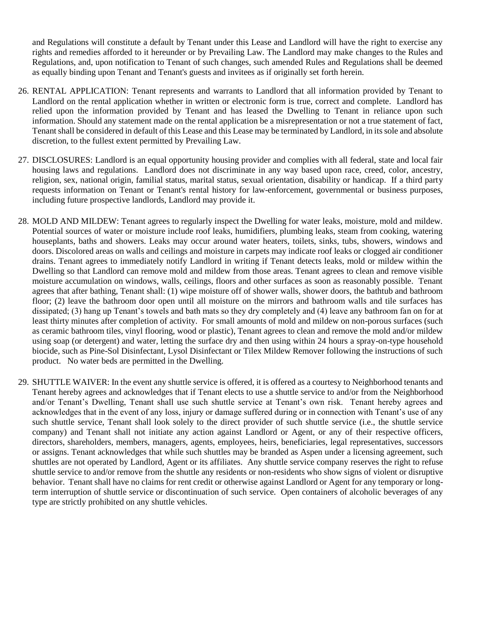and Regulations will constitute a default by Tenant under this Lease and Landlord will have the right to exercise any rights and remedies afforded to it hereunder or by Prevailing Law. The Landlord may make changes to the Rules and Regulations, and, upon notification to Tenant of such changes, such amended Rules and Regulations shall be deemed as equally binding upon Tenant and Tenant's guests and invitees as if originally set forth herein.

- 26. RENTAL APPLICATION: Tenant represents and warrants to Landlord that all information provided by Tenant to Landlord on the rental application whether in written or electronic form is true, correct and complete. Landlord has relied upon the information provided by Tenant and has leased the Dwelling to Tenant in reliance upon such information. Should any statement made on the rental application be a misrepresentation or not a true statement of fact, Tenant shall be considered in default of this Lease and this Lease may be terminated by Landlord, in its sole and absolute discretion, to the fullest extent permitted by Prevailing Law.
- 27. DISCLOSURES: Landlord is an equal opportunity housing provider and complies with all federal, state and local fair housing laws and regulations. Landlord does not discriminate in any way based upon race, creed, color, ancestry, religion, sex, national origin, familial status, marital status, sexual orientation, disability or handicap. If a third party requests information on Tenant or Tenant's rental history for law-enforcement, governmental or business purposes, including future prospective landlords, Landlord may provide it.
- 28. MOLD AND MILDEW: Tenant agrees to regularly inspect the Dwelling for water leaks, moisture, mold and mildew. Potential sources of water or moisture include roof leaks, humidifiers, plumbing leaks, steam from cooking, watering houseplants, baths and showers. Leaks may occur around water heaters, toilets, sinks, tubs, showers, windows and doors. Discolored areas on walls and ceilings and moisture in carpets may indicate roof leaks or clogged air conditioner drains. Tenant agrees to immediately notify Landlord in writing if Tenant detects leaks, mold or mildew within the Dwelling so that Landlord can remove mold and mildew from those areas. Tenant agrees to clean and remove visible moisture accumulation on windows, walls, ceilings, floors and other surfaces as soon as reasonably possible. Tenant agrees that after bathing, Tenant shall: (1) wipe moisture off of shower walls, shower doors, the bathtub and bathroom floor; (2) leave the bathroom door open until all moisture on the mirrors and bathroom walls and tile surfaces has dissipated; (3) hang up Tenant's towels and bath mats so they dry completely and (4) leave any bathroom fan on for at least thirty minutes after completion of activity. For small amounts of mold and mildew on non-porous surfaces (such as ceramic bathroom tiles, vinyl flooring, wood or plastic), Tenant agrees to clean and remove the mold and/or mildew using soap (or detergent) and water, letting the surface dry and then using within 24 hours a spray-on-type household biocide, such as Pine-Sol Disinfectant, Lysol Disinfectant or Tilex Mildew Remover following the instructions of such product. No water beds are permitted in the Dwelling.
- 29. SHUTTLE WAIVER: In the event any shuttle service is offered, it is offered as a courtesy to Neighborhood tenants and Tenant hereby agrees and acknowledges that if Tenant elects to use a shuttle service to and/or from the Neighborhood and/or Tenant's Dwelling, Tenant shall use such shuttle service at Tenant's own risk. Tenant hereby agrees and acknowledges that in the event of any loss, injury or damage suffered during or in connection with Tenant's use of any such shuttle service, Tenant shall look solely to the direct provider of such shuttle service (i.e., the shuttle service company) and Tenant shall not initiate any action against Landlord or Agent, or any of their respective officers, directors, shareholders, members, managers, agents, employees, heirs, beneficiaries, legal representatives, successors or assigns. Tenant acknowledges that while such shuttles may be branded as Aspen under a licensing agreement, such shuttles are not operated by Landlord, Agent or its affiliates. Any shuttle service company reserves the right to refuse shuttle service to and/or remove from the shuttle any residents or non-residents who show signs of violent or disruptive behavior. Tenant shall have no claims for rent credit or otherwise against Landlord or Agent for any temporary or longterm interruption of shuttle service or discontinuation of such service. Open containers of alcoholic beverages of any type are strictly prohibited on any shuttle vehicles.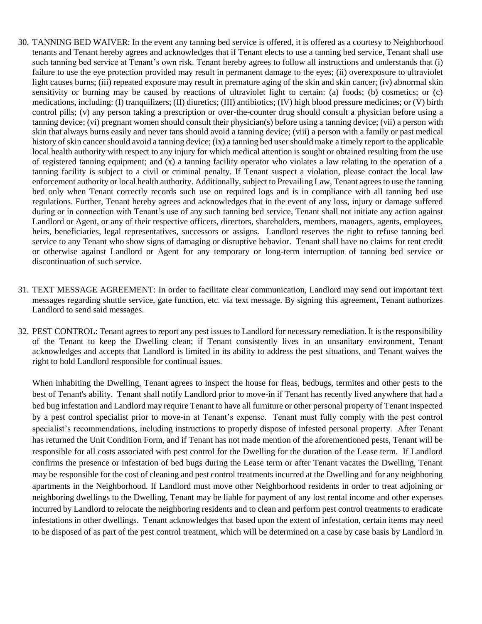- 30. TANNING BED WAIVER: In the event any tanning bed service is offered, it is offered as a courtesy to Neighborhood tenants and Tenant hereby agrees and acknowledges that if Tenant elects to use a tanning bed service, Tenant shall use such tanning bed service at Tenant's own risk. Tenant hereby agrees to follow all instructions and understands that (i) failure to use the eye protection provided may result in permanent damage to the eyes; (ii) overexposure to ultraviolet light causes burns; (iii) repeated exposure may result in premature aging of the skin and skin cancer; (iv) abnormal skin sensitivity or burning may be caused by reactions of ultraviolet light to certain: (a) foods; (b) cosmetics; or (c) medications, including: (I) tranquilizers; (II) diuretics; (III) antibiotics; (IV) high blood pressure medicines; or (V) birth control pills; (v) any person taking a prescription or over-the-counter drug should consult a physician before using a tanning device; (vi) pregnant women should consult their physician(s) before using a tanning device; (vii) a person with skin that always burns easily and never tans should avoid a tanning device; (viii) a person with a family or past medical history of skin cancer should avoid a tanning device; (ix) a tanning bed user should make a timely report to the applicable local health authority with respect to any injury for which medical attention is sought or obtained resulting from the use of registered tanning equipment; and  $(x)$  a tanning facility operator who violates a law relating to the operation of a tanning facility is subject to a civil or criminal penalty. If Tenant suspect a violation, please contact the local law enforcement authority or local health authority. Additionally, subject to Prevailing Law, Tenant agrees to use the tanning bed only when Tenant correctly records such use on required logs and is in compliance with all tanning bed use regulations. Further, Tenant hereby agrees and acknowledges that in the event of any loss, injury or damage suffered during or in connection with Tenant's use of any such tanning bed service, Tenant shall not initiate any action against Landlord or Agent, or any of their respective officers, directors, shareholders, members, managers, agents, employees, heirs, beneficiaries, legal representatives, successors or assigns. Landlord reserves the right to refuse tanning bed service to any Tenant who show signs of damaging or disruptive behavior. Tenant shall have no claims for rent credit or otherwise against Landlord or Agent for any temporary or long-term interruption of tanning bed service or discontinuation of such service.
- 31. TEXT MESSAGE AGREEMENT: In order to facilitate clear communication, Landlord may send out important text messages regarding shuttle service, gate function, etc. via text message. By signing this agreement, Tenant authorizes Landlord to send said messages.
- 32. PEST CONTROL: Tenant agrees to report any pest issues to Landlord for necessary remediation. It is the responsibility of the Tenant to keep the Dwelling clean; if Tenant consistently lives in an unsanitary environment, Tenant acknowledges and accepts that Landlord is limited in its ability to address the pest situations, and Tenant waives the right to hold Landlord responsible for continual issues.

When inhabiting the Dwelling, Tenant agrees to inspect the house for fleas, bedbugs, termites and other pests to the best of Tenant's ability. Tenant shall notify Landlord prior to move-in if Tenant has recently lived anywhere that had a bed bug infestation and Landlord may require Tenant to have all furniture or other personal property of Tenant inspected by a pest control specialist prior to move-in at Tenant's expense. Tenant must fully comply with the pest control specialist's recommendations, including instructions to properly dispose of infested personal property. After Tenant has returned the Unit Condition Form, and if Tenant has not made mention of the aforementioned pests, Tenant will be responsible for all costs associated with pest control for the Dwelling for the duration of the Lease term. If Landlord confirms the presence or infestation of bed bugs during the Lease term or after Tenant vacates the Dwelling, Tenant may be responsible for the cost of cleaning and pest control treatments incurred at the Dwelling and for any neighboring apartments in the Neighborhood. If Landlord must move other Neighborhood residents in order to treat adjoining or neighboring dwellings to the Dwelling, Tenant may be liable for payment of any lost rental income and other expenses incurred by Landlord to relocate the neighboring residents and to clean and perform pest control treatments to eradicate infestations in other dwellings. Tenant acknowledges that based upon the extent of infestation, certain items may need to be disposed of as part of the pest control treatment, which will be determined on a case by case basis by Landlord in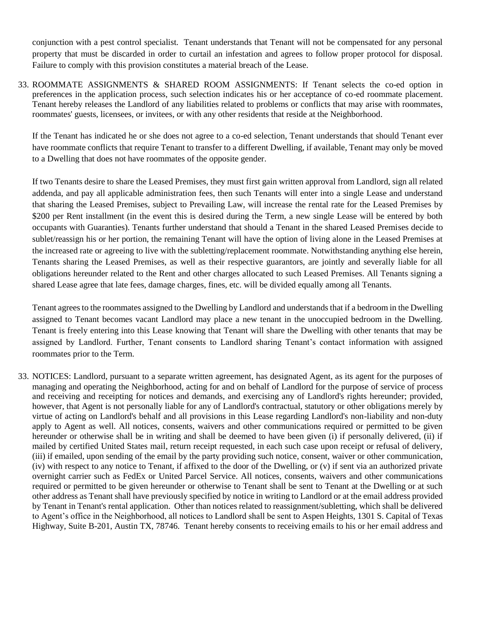conjunction with a pest control specialist. Tenant understands that Tenant will not be compensated for any personal property that must be discarded in order to curtail an infestation and agrees to follow proper protocol for disposal. Failure to comply with this provision constitutes a material breach of the Lease.

33. ROOMMATE ASSIGNMENTS & SHARED ROOM ASSIGNMENTS: If Tenant selects the co-ed option in preferences in the application process, such selection indicates his or her acceptance of co-ed roommate placement. Tenant hereby releases the Landlord of any liabilities related to problems or conflicts that may arise with roommates, roommates' guests, licensees, or invitees, or with any other residents that reside at the Neighborhood.

If the Tenant has indicated he or she does not agree to a co-ed selection, Tenant understands that should Tenant ever have roommate conflicts that require Tenant to transfer to a different Dwelling, if available, Tenant may only be moved to a Dwelling that does not have roommates of the opposite gender.

If two Tenants desire to share the Leased Premises, they must first gain written approval from Landlord, sign all related addenda, and pay all applicable administration fees, then such Tenants will enter into a single Lease and understand that sharing the Leased Premises, subject to Prevailing Law, will increase the rental rate for the Leased Premises by \$200 per Rent installment (in the event this is desired during the Term, a new single Lease will be entered by both occupants with Guaranties). Tenants further understand that should a Tenant in the shared Leased Premises decide to sublet/reassign his or her portion, the remaining Tenant will have the option of living alone in the Leased Premises at the increased rate or agreeing to live with the subletting/replacement roommate. Notwithstanding anything else herein, Tenants sharing the Leased Premises, as well as their respective guarantors, are jointly and severally liable for all obligations hereunder related to the Rent and other charges allocated to such Leased Premises. All Tenants signing a shared Lease agree that late fees, damage charges, fines, etc. will be divided equally among all Tenants.

Tenant agrees to the roommates assigned to the Dwelling by Landlord and understands that if a bedroom in the Dwelling assigned to Tenant becomes vacant Landlord may place a new tenant in the unoccupied bedroom in the Dwelling. Tenant is freely entering into this Lease knowing that Tenant will share the Dwelling with other tenants that may be assigned by Landlord. Further, Tenant consents to Landlord sharing Tenant's contact information with assigned roommates prior to the Term.

33. NOTICES: Landlord, pursuant to a separate written agreement, has designated Agent, as its agent for the purposes of managing and operating the Neighborhood, acting for and on behalf of Landlord for the purpose of service of process and receiving and receipting for notices and demands, and exercising any of Landlord's rights hereunder; provided, however, that Agent is not personally liable for any of Landlord's contractual, statutory or other obligations merely by virtue of acting on Landlord's behalf and all provisions in this Lease regarding Landlord's non-liability and non-duty apply to Agent as well. All notices, consents, waivers and other communications required or permitted to be given hereunder or otherwise shall be in writing and shall be deemed to have been given (i) if personally delivered, (ii) if mailed by certified United States mail, return receipt requested, in each such case upon receipt or refusal of delivery, (iii) if emailed, upon sending of the email by the party providing such notice, consent, waiver or other communication, (iv) with respect to any notice to Tenant, if affixed to the door of the Dwelling, or (v) if sent via an authorized private overnight carrier such as FedEx or United Parcel Service. All notices, consents, waivers and other communications required or permitted to be given hereunder or otherwise to Tenant shall be sent to Tenant at the Dwelling or at such other address as Tenant shall have previously specified by notice in writing to Landlord or at the email address provided by Tenant in Tenant's rental application. Other than notices related to reassignment/subletting, which shall be delivered to Agent's office in the Neighborhood, all notices to Landlord shall be sent to Aspen Heights, 1301 S. Capital of Texas Highway, Suite B-201, Austin TX, 78746. Tenant hereby consents to receiving emails to his or her email address and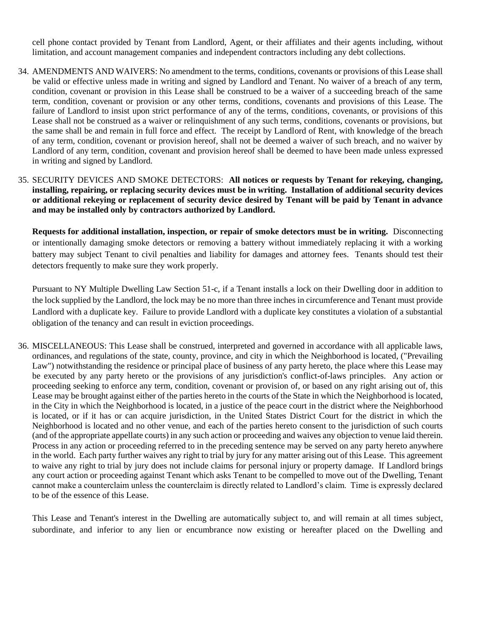cell phone contact provided by Tenant from Landlord, Agent, or their affiliates and their agents including, without limitation, and account management companies and independent contractors including any debt collections.

- 34. AMENDMENTS AND WAIVERS: No amendment to the terms, conditions, covenants or provisions of this Lease shall be valid or effective unless made in writing and signed by Landlord and Tenant. No waiver of a breach of any term, condition, covenant or provision in this Lease shall be construed to be a waiver of a succeeding breach of the same term, condition, covenant or provision or any other terms, conditions, covenants and provisions of this Lease. The failure of Landlord to insist upon strict performance of any of the terms, conditions, covenants, or provisions of this Lease shall not be construed as a waiver or relinquishment of any such terms, conditions, covenants or provisions, but the same shall be and remain in full force and effect. The receipt by Landlord of Rent, with knowledge of the breach of any term, condition, covenant or provision hereof, shall not be deemed a waiver of such breach, and no waiver by Landlord of any term, condition, covenant and provision hereof shall be deemed to have been made unless expressed in writing and signed by Landlord.
- 35. SECURITY DEVICES AND SMOKE DETECTORS: **All notices or requests by Tenant for rekeying, changing, installing, repairing, or replacing security devices must be in writing. Installation of additional security devices or additional rekeying or replacement of security device desired by Tenant will be paid by Tenant in advance and may be installed only by contractors authorized by Landlord.**

**Requests for additional installation, inspection, or repair of smoke detectors must be in writing.** Disconnecting or intentionally damaging smoke detectors or removing a battery without immediately replacing it with a working battery may subject Tenant to civil penalties and liability for damages and attorney fees. Tenants should test their detectors frequently to make sure they work properly.

Pursuant to NY Multiple Dwelling Law Section 51-c, if a Tenant installs a lock on their Dwelling door in addition to the lock supplied by the Landlord, the lock may be no more than three inches in circumference and Tenant must provide Landlord with a duplicate key. Failure to provide Landlord with a duplicate key constitutes a violation of a substantial obligation of the tenancy and can result in eviction proceedings.

36. MISCELLANEOUS: This Lease shall be construed, interpreted and governed in accordance with all applicable laws, ordinances, and regulations of the state, county, province, and city in which the Neighborhood is located, ("Prevailing Law") notwithstanding the residence or principal place of business of any party hereto, the place where this Lease may be executed by any party hereto or the provisions of any jurisdiction's conflict-of-laws principles. Any action or proceeding seeking to enforce any term, condition, covenant or provision of, or based on any right arising out of, this Lease may be brought against either of the parties hereto in the courts of the State in which the Neighborhood is located, in the City in which the Neighborhood is located, in a justice of the peace court in the district where the Neighborhood is located, or if it has or can acquire jurisdiction, in the United States District Court for the district in which the Neighborhood is located and no other venue, and each of the parties hereto consent to the jurisdiction of such courts (and of the appropriate appellate courts) in any such action or proceeding and waives any objection to venue laid therein. Process in any action or proceeding referred to in the preceding sentence may be served on any party hereto anywhere in the world. Each party further waives any right to trial by jury for any matter arising out of this Lease. This agreement to waive any right to trial by jury does not include claims for personal injury or property damage. If Landlord brings any court action or proceeding against Tenant which asks Tenant to be compelled to move out of the Dwelling, Tenant cannot make a counterclaim unless the counterclaim is directly related to Landlord's claim. Time is expressly declared to be of the essence of this Lease.

This Lease and Tenant's interest in the Dwelling are automatically subject to, and will remain at all times subject, subordinate, and inferior to any lien or encumbrance now existing or hereafter placed on the Dwelling and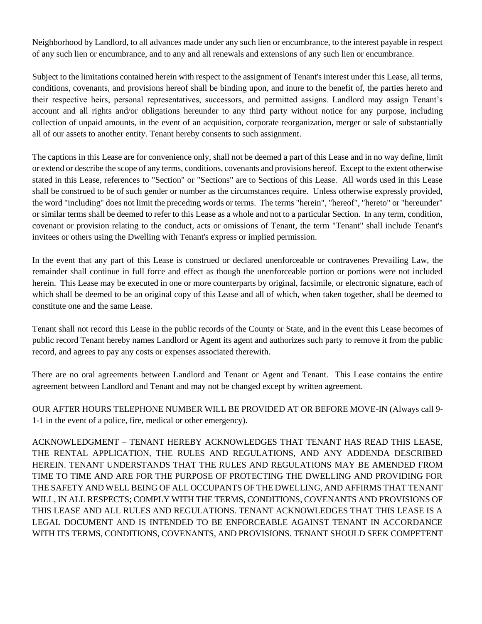Neighborhood by Landlord, to all advances made under any such lien or encumbrance, to the interest payable in respect of any such lien or encumbrance, and to any and all renewals and extensions of any such lien or encumbrance.

Subject to the limitations contained herein with respect to the assignment of Tenant's interest under this Lease, all terms, conditions, covenants, and provisions hereof shall be binding upon, and inure to the benefit of, the parties hereto and their respective heirs, personal representatives, successors, and permitted assigns. Landlord may assign Tenant's account and all rights and/or obligations hereunder to any third party without notice for any purpose, including collection of unpaid amounts, in the event of an acquisition, corporate reorganization, merger or sale of substantially all of our assets to another entity. Tenant hereby consents to such assignment.

The captions in this Lease are for convenience only, shall not be deemed a part of this Lease and in no way define, limit or extend or describe the scope of any terms, conditions, covenants and provisions hereof. Except to the extent otherwise stated in this Lease, references to "Section" or "Sections" are to Sections of this Lease. All words used in this Lease shall be construed to be of such gender or number as the circumstances require. Unless otherwise expressly provided, the word "including" does not limit the preceding words or terms. The terms "herein", "hereof", "hereto" or "hereunder" or similar terms shall be deemed to refer to this Lease as a whole and not to a particular Section. In any term, condition, covenant or provision relating to the conduct, acts or omissions of Tenant, the term "Tenant" shall include Tenant's invitees or others using the Dwelling with Tenant's express or implied permission.

In the event that any part of this Lease is construed or declared unenforceable or contravenes Prevailing Law, the remainder shall continue in full force and effect as though the unenforceable portion or portions were not included herein. This Lease may be executed in one or more counterparts by original, facsimile, or electronic signature, each of which shall be deemed to be an original copy of this Lease and all of which, when taken together, shall be deemed to constitute one and the same Lease.

Tenant shall not record this Lease in the public records of the County or State, and in the event this Lease becomes of public record Tenant hereby names Landlord or Agent its agent and authorizes such party to remove it from the public record, and agrees to pay any costs or expenses associated therewith.

There are no oral agreements between Landlord and Tenant or Agent and Tenant. This Lease contains the entire agreement between Landlord and Tenant and may not be changed except by written agreement.

OUR AFTER HOURS TELEPHONE NUMBER WILL BE PROVIDED AT OR BEFORE MOVE-IN (Always call 9- 1-1 in the event of a police, fire, medical or other emergency).

ACKNOWLEDGMENT – TENANT HEREBY ACKNOWLEDGES THAT TENANT HAS READ THIS LEASE, THE RENTAL APPLICATION, THE RULES AND REGULATIONS, AND ANY ADDENDA DESCRIBED HEREIN. TENANT UNDERSTANDS THAT THE RULES AND REGULATIONS MAY BE AMENDED FROM TIME TO TIME AND ARE FOR THE PURPOSE OF PROTECTING THE DWELLING AND PROVIDING FOR THE SAFETY AND WELL BEING OF ALL OCCUPANTS OF THE DWELLING, AND AFFIRMS THAT TENANT WILL, IN ALL RESPECTS; COMPLY WITH THE TERMS, CONDITIONS, COVENANTS AND PROVISIONS OF THIS LEASE AND ALL RULES AND REGULATIONS. TENANT ACKNOWLEDGES THAT THIS LEASE IS A LEGAL DOCUMENT AND IS INTENDED TO BE ENFORCEABLE AGAINST TENANT IN ACCORDANCE WITH ITS TERMS, CONDITIONS, COVENANTS, AND PROVISIONS. TENANT SHOULD SEEK COMPETENT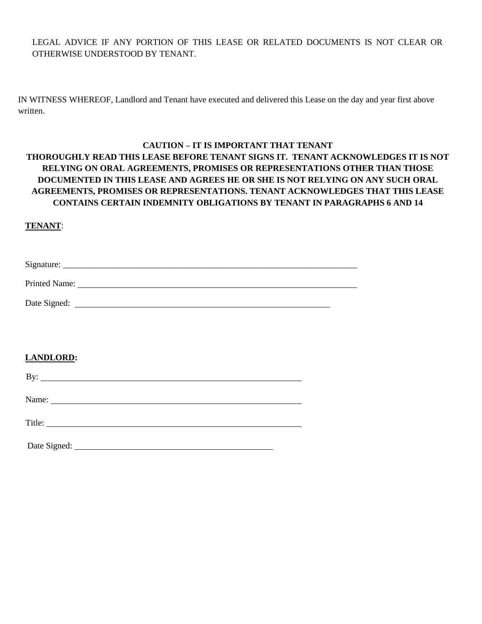LEGAL ADVICE IF ANY PORTION OF THIS LEASE OR RELATED DOCUMENTS IS NOT CLEAR OR OTHERWISE UNDERSTOOD BY TENANT.

IN WITNESS WHEREOF, Landlord and Tenant have executed and delivered this Lease on the day and year first above written.

## **CAUTION – IT IS IMPORTANT THAT TENANT THOROUGHLY READ THIS LEASE BEFORE TENANT SIGNS IT. TENANT ACKNOWLEDGES IT IS NOT**

### **RELYING ON ORAL AGREEMENTS, PROMISES OR REPRESENTATIONS OTHER THAN THOSE DOCUMENTED IN THIS LEASE AND AGREES HE OR SHE IS NOT RELYING ON ANY SUCH ORAL AGREEMENTS, PROMISES OR REPRESENTATIONS. TENANT ACKNOWLEDGES THAT THIS LEASE CONTAINS CERTAIN INDEMNITY OBLIGATIONS BY TENANT IN PARAGRAPHS 6 AND 14**

### **TENANT**:

| Signature:    |  |  |
|---------------|--|--|
|               |  |  |
| Printed Name: |  |  |

Date Signed:

## **LANDLORD:**

| - |  |
|---|--|

Name:

Title:

Date Signed: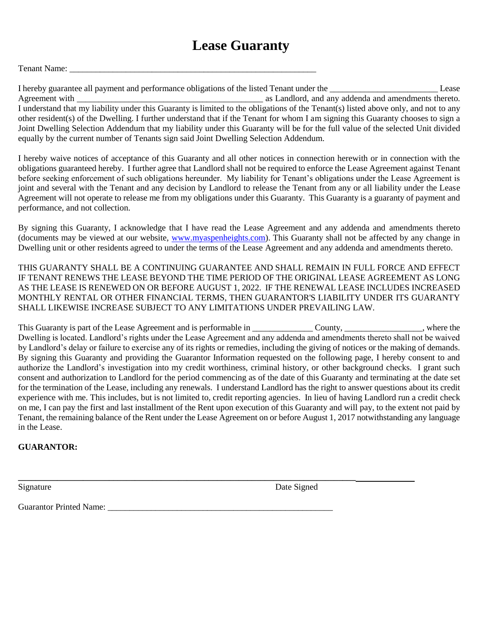# **Lease Guaranty**

Tenant Name: \_\_\_\_\_\_\_\_\_\_\_\_\_\_\_\_\_\_\_\_\_\_\_\_\_\_\_\_\_\_\_\_\_\_\_\_\_\_\_\_\_\_\_\_\_\_\_\_\_\_\_\_\_\_\_\_\_

I hereby guarantee all payment and performance obligations of the listed Tenant under the \_\_\_\_\_\_\_\_\_\_\_\_\_\_\_\_\_\_\_\_\_\_\_\_\_ Lease Agreement with \_\_\_\_\_\_\_\_\_\_\_\_\_\_\_\_\_\_\_\_\_\_\_\_\_\_\_\_\_\_\_\_\_\_\_\_\_\_\_\_\_\_\_ as Landlord, and any addenda and amendments thereto. I understand that my liability under this Guaranty is limited to the obligations of the Tenant(s) listed above only, and not to any other resident(s) of the Dwelling. I further understand that if the Tenant for whom I am signing this Guaranty chooses to sign a Joint Dwelling Selection Addendum that my liability under this Guaranty will be for the full value of the selected Unit divided equally by the current number of Tenants sign said Joint Dwelling Selection Addendum.

I hereby waive notices of acceptance of this Guaranty and all other notices in connection herewith or in connection with the obligations guaranteed hereby. I further agree that Landlord shall not be required to enforce the Lease Agreement against Tenant before seeking enforcement of such obligations hereunder. My liability for Tenant's obligations under the Lease Agreement is joint and several with the Tenant and any decision by Landlord to release the Tenant from any or all liability under the Lease Agreement will not operate to release me from my obligations under this Guaranty. This Guaranty is a guaranty of payment and performance, and not collection.

By signing this Guaranty, I acknowledge that I have read the Lease Agreement and any addenda and amendments thereto (documents may be viewed at our website, [www.myaspenheights.com\)](http://www.myaspenheights.com/). This Guaranty shall not be affected by any change in Dwelling unit or other residents agreed to under the terms of the Lease Agreement and any addenda and amendments thereto.

THIS GUARANTY SHALL BE A CONTINUING GUARANTEE AND SHALL REMAIN IN FULL FORCE AND EFFECT IF TENANT RENEWS THE LEASE BEYOND THE TIME PERIOD OF THE ORIGINAL LEASE AGREEMENT AS LONG AS THE LEASE IS RENEWED ON OR BEFORE AUGUST 1, 2022. IF THE RENEWAL LEASE INCLUDES INCREASED MONTHLY RENTAL OR OTHER FINANCIAL TERMS, THEN GUARANTOR'S LIABILITY UNDER ITS GUARANTY SHALL LIKEWISE INCREASE SUBJECT TO ANY LIMITATIONS UNDER PREVAILING LAW.

This Guaranty is part of the Lease Agreement and is performable in \_\_\_\_\_\_\_\_\_\_\_\_\_\_ County, \_\_\_\_\_\_\_\_\_\_\_\_\_\_\_, where the Dwelling is located. Landlord's rights under the Lease Agreement and any addenda and amendments thereto shall not be waived by Landlord's delay or failure to exercise any of its rights or remedies, including the giving of notices or the making of demands. By signing this Guaranty and providing the Guarantor Information requested on the following page, I hereby consent to and authorize the Landlord's investigation into my credit worthiness, criminal history, or other background checks. I grant such consent and authorization to Landlord for the period commencing as of the date of this Guaranty and terminating at the date set for the termination of the Lease, including any renewals. I understand Landlord has the right to answer questions about its credit experience with me. This includes, but is not limited to, credit reporting agencies. In lieu of having Landlord run a credit check on me, I can pay the first and last installment of the Rent upon execution of this Guaranty and will pay, to the extent not paid by Tenant, the remaining balance of the Rent under the Lease Agreement on or before August 1, 2017 notwithstanding any language in the Lease.

**\_\_\_\_\_\_\_\_\_\_\_\_\_\_\_\_\_\_\_\_\_\_\_\_\_\_\_\_\_\_\_\_\_\_\_\_\_\_\_\_\_\_\_\_\_\_\_\_\_\_\_\_\_\_\_\_\_\_\_\_\_\_\_\_\_\_\_\_\_\_\_\_\_\_\_\_\_\_**

#### **GUARANTOR:**

Signature Date Signature Date Signature Date Signature Date Signature Date Signature Date Signature Date Signature

Guarantor Printed Name: